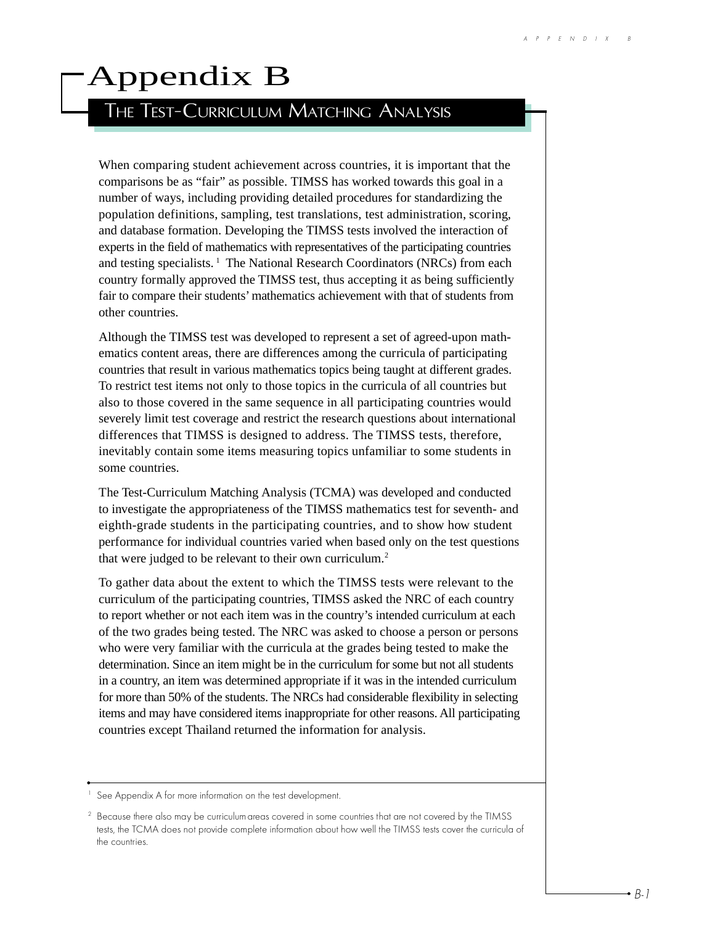## Appendix B

## THE TEST-CURRICULUM MATCHING ANALYSIS

When comparing student achievement across countries, it is important that the comparisons be as "fair" as possible. TIMSS has worked towards this goal in a number of ways, including providing detailed procedures for standardizing the population definitions, sampling, test translations, test administration, scoring, and database formation. Developing the TIMSS tests involved the interaction of experts in the field of mathematics with representatives of the participating countries and testing specialists.<sup>1</sup> The National Research Coordinators (NRCs) from each country formally approved the TIMSS test, thus accepting it as being sufficiently fair to compare their students' mathematics achievement with that of students from other countries.

Although the TIMSS test was developed to represent a set of agreed-upon mathematics content areas, there are differences among the curricula of participating countries that result in various mathematics topics being taught at different grades. To restrict test items not only to those topics in the curricula of all countries but also to those covered in the same sequence in all participating countries would severely limit test coverage and restrict the research questions about international differences that TIMSS is designed to address. The TIMSS tests, therefore, inevitably contain some items measuring topics unfamiliar to some students in some countries.

The Test-Curriculum Matching Analysis (TCMA) was developed and conducted to investigate the appropriateness of the TIMSS mathematics test for seventh- and eighth-grade students in the participating countries, and to show how student performance for individual countries varied when based only on the test questions that were judged to be relevant to their own curriculum.<sup>2</sup>

To gather data about the extent to which the TIMSS tests were relevant to the curriculum of the participating countries, TIMSS asked the NRC of each country to report whether or not each item was in the country's intended curriculum at each of the two grades being tested. The NRC was asked to choose a person or persons who were very familiar with the curricula at the grades being tested to make the determination. Since an item might be in the curriculum for some but not all students in a country, an item was determined appropriate if it was in the intended curriculum for more than 50% of the students. The NRCs had considerable flexibility in selecting items and may have considered items inappropriate for other reasons. All participating countries except Thailand returned the information for analysis.

<sup>&</sup>lt;sup>1</sup> See Appendix A for more information on the test development.

<sup>&</sup>lt;sup>2</sup> Because there also may be curriculum areas covered in some countries that are not covered by the TIMSS tests, the TCMA does not provide complete information about how well the TIMSS tests cover the curricula of the countries.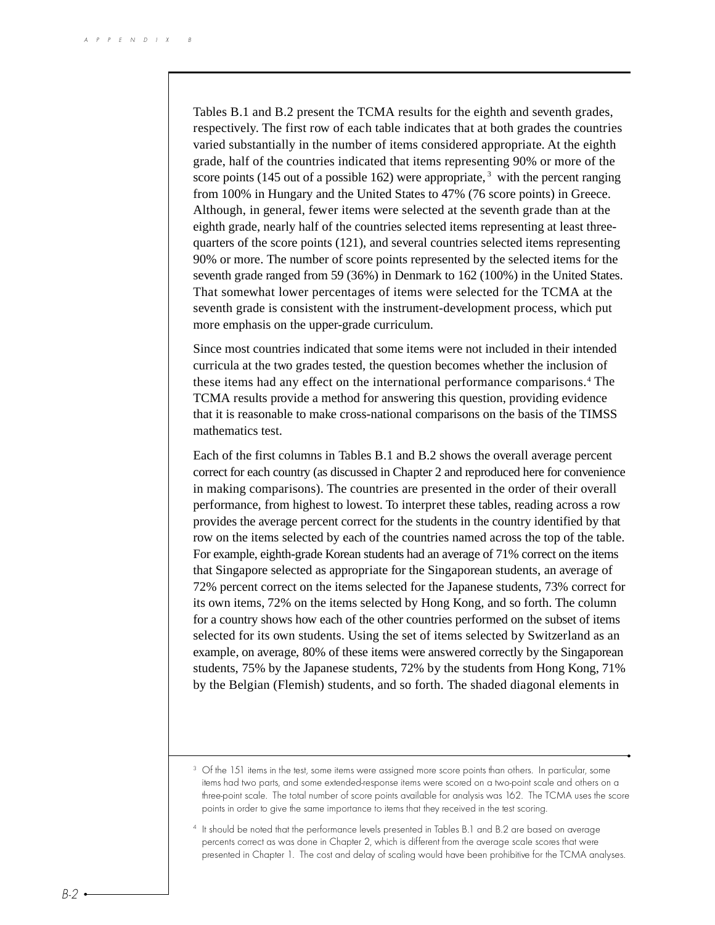Tables B.1 and B.2 present the TCMA results for the eighth and seventh grades, respectively. The first row of each table indicates that at both grades the countries varied substantially in the number of items considered appropriate. At the eighth grade, half of the countries indicated that items representing 90% or more of the score points (145 out of a possible 162) were appropriate,  $3$  with the percent ranging from 100% in Hungary and the United States to 47% (76 score points) in Greece. Although, in general, fewer items were selected at the seventh grade than at the eighth grade, nearly half of the countries selected items representing at least threequarters of the score points (121), and several countries selected items representing 90% or more. The number of score points represented by the selected items for the seventh grade ranged from 59 (36%) in Denmark to 162 (100%) in the United States. That somewhat lower percentages of items were selected for the TCMA at the seventh grade is consistent with the instrument-development process, which put more emphasis on the upper-grade curriculum.

Since most countries indicated that some items were not included in their intended curricula at the two grades tested, the question becomes whether the inclusion of these items had any effect on the international performance comparisons.4 The TCMA results provide a method for answering this question, providing evidence that it is reasonable to make cross-national comparisons on the basis of the TIMSS mathematics test.

Each of the first columns in Tables B.1 and B.2 shows the overall average percent correct for each country (as discussed in Chapter 2 and reproduced here for convenience in making comparisons). The countries are presented in the order of their overall performance, from highest to lowest. To interpret these tables, reading across a row provides the average percent correct for the students in the country identified by that row on the items selected by each of the countries named across the top of the table. For example, eighth-grade Korean students had an average of 71% correct on the items that Singapore selected as appropriate for the Singaporean students, an average of 72% percent correct on the items selected for the Japanese students, 73% correct for its own items, 72% on the items selected by Hong Kong, and so forth. The column for a country shows how each of the other countries performed on the subset of items selected for its own students. Using the set of items selected by Switzerland as an example, on average, 80% of these items were answered correctly by the Singaporean students, 75% by the Japanese students, 72% by the students from Hong Kong, 71% by the Belgian (Flemish) students, and so forth. The shaded diagonal elements in

<sup>&</sup>lt;sup>3</sup> Of the 151 items in the test, some items were assigned more score points than others. In particular, some items had two parts, and some extended-response items were scored on a two-point scale and others on a three-point scale. The total number of score points available for analysis was 162. The TCMA uses the score points in order to give the same importance to items that they received in the test scoring.

<sup>4</sup> It should be noted that the performance levels presented in Tables B.1 and B.2 are based on average percents correct as was done in Chapter 2, which is different from the average scale scores that were presented in Chapter 1. The cost and delay of scaling would have been prohibitive for the TCMA analyses.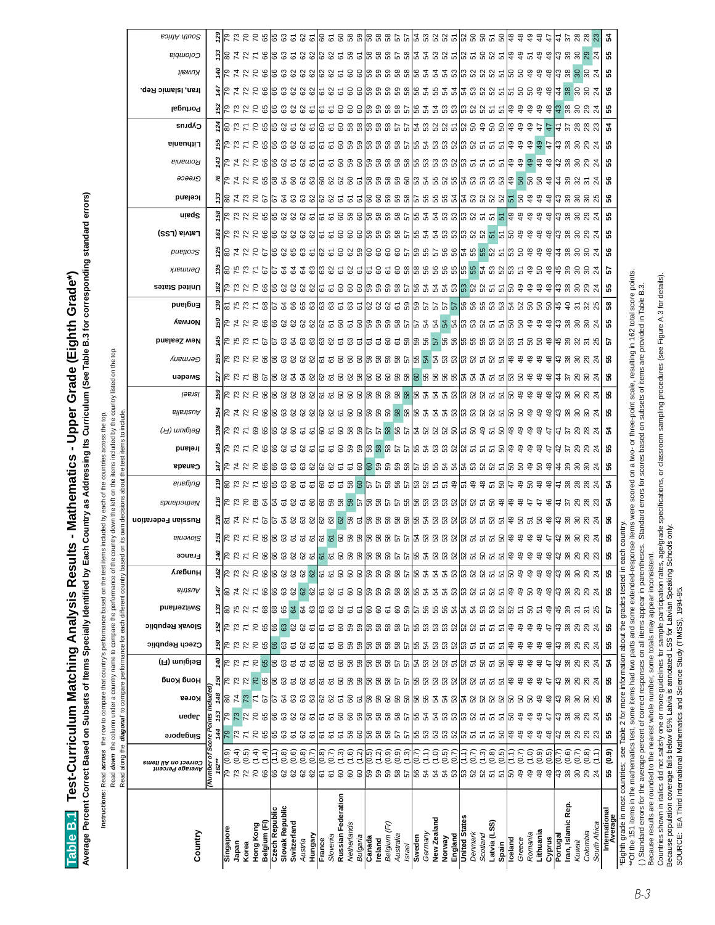| ).                                              |   |
|-------------------------------------------------|---|
|                                                 |   |
|                                                 |   |
|                                                 |   |
|                                                 |   |
|                                                 |   |
|                                                 |   |
|                                                 |   |
|                                                 |   |
|                                                 |   |
|                                                 |   |
|                                                 |   |
|                                                 |   |
|                                                 |   |
|                                                 |   |
| -<br>-<br>-<br>-                                |   |
|                                                 |   |
|                                                 |   |
| )                                               |   |
|                                                 |   |
|                                                 |   |
|                                                 |   |
| $\frac{1}{2}$                                   |   |
|                                                 | I |
| ֖֖֧֖ׅׅ֖֧ׅ֧ׅ֧ׅ֧֚֚֚֚֚֚֚֚֚֚֚֚֚֚֚֚֚֚֚֚֚֚֚֚֚֚֡֝֝֝֬֝֬ |   |
|                                                 |   |
| I<br>í                                          |   |
|                                                 |   |
|                                                 |   |
|                                                 | ļ |
|                                                 |   |
| I                                               |   |

Average Percent Correct Based on Subsets of Items Specially Identified by Each Country as Addressing Its Curriculum (See Table B.3 for corresponding standard errors) **Average Percent Correct Based on Subsets of Items Specially Identified by Each Country as Addressing Its Curriculum (See Table B.3 for corresponding standard errors)**

Instructions: Read across the row to compare that country's performance based on the test items included by each of the countries across the top. **Instructions:** Read **across** the row to compare that country's performance based on the test items included by each of the countries across the top.

Read down the column under a country name to compare the performance of the country down the left on the items included by the country listed on the top. Read **down** the column under a country name to compare the performance of the country down the left on the items included by the country listed on the top.

|                                                                                                            | Read along the <i>diagonal</i> to compare performance for each different country based |                  |                                  |                                |                                      |                              |                      |                                              |             |                   |                                 |                                                                                                                     |                    |            |                         |        |                                                                                                                                                                                                                                                                                                                     | on its own decisions about the test items to include. |           |        |        |                                                                                                                 |                                                                                                                  |         |               |                                                                                                       |                                                                                                                                                                |                                                                                              |       |         |        |         |                                                                                                                                                                                                                                                                                                                                        |                    |                    |                                                                                                  |          |              |
|------------------------------------------------------------------------------------------------------------|----------------------------------------------------------------------------------------|------------------|----------------------------------|--------------------------------|--------------------------------------|------------------------------|----------------------|----------------------------------------------|-------------|-------------------|---------------------------------|---------------------------------------------------------------------------------------------------------------------|--------------------|------------|-------------------------|--------|---------------------------------------------------------------------------------------------------------------------------------------------------------------------------------------------------------------------------------------------------------------------------------------------------------------------|-------------------------------------------------------|-----------|--------|--------|-----------------------------------------------------------------------------------------------------------------|------------------------------------------------------------------------------------------------------------------|---------|---------------|-------------------------------------------------------------------------------------------------------|----------------------------------------------------------------------------------------------------------------------------------------------------------------|----------------------------------------------------------------------------------------------|-------|---------|--------|---------|----------------------------------------------------------------------------------------------------------------------------------------------------------------------------------------------------------------------------------------------------------------------------------------------------------------------------------------|--------------------|--------------------|--------------------------------------------------------------------------------------------------|----------|--------------|
| Country                                                                                                    | Average Percent<br>Correct on All Items                                                | Singapore        | ueder                            | Korea                          | биоу бион                            | Belgium (FI)                 | Czech Republic       | <b>Slovak Republic</b>                       | Switzerland | Austria           | <b>France</b><br><b>AuebunH</b> | <b>Binevol2</b>                                                                                                     | Russian Federation | spueµayıaN | Bulgaria                | Canada | Ireland                                                                                                                                                                                                                                                                                                             | (பு) யார்ரி                                           | Australia | lesiel | uəpəms | Germany                                                                                                         | Norway<br>New Zealand                                                                                            | England | United States | Denmark                                                                                               | pueltoog                                                                                                                                                       | Latvia (LSS)                                                                                 | uisqe | lceland | ခ၁ခခၪ၅ | Romania | Lithuania                                                                                                                                                                                                                                                                                                                              | Portugal<br>Cyprus | Iran, Islamic Rep. | іівмиу                                                                                           | Colombia | South Africa |
|                                                                                                            | ō<br>(Number<br>$162**$                                                                | 144<br>ore       | 53<br>πs                         | 148                            | 50                                   |                              |                      |                                              |             |                   |                                 |                                                                                                                     |                    |            |                         |        |                                                                                                                                                                                                                                                                                                                     |                                                       |           |        |        |                                                                                                                 |                                                                                                                  |         |               |                                                                                                       |                                                                                                                                                                |                                                                                              |       |         |        |         |                                                                                                                                                                                                                                                                                                                                        |                    |                    |                                                                                                  |          |              |
| Singapore                                                                                                  | ೯ ೧                                                                                    | 57               |                                  | န္တ                            |                                      |                              |                      | 92                                           | ္ဗုဒ္ထ      | 질의 수              | $rac{6}{5}$<br>ଞ୍ଚାମ            |                                                                                                                     |                    |            |                         |        |                                                                                                                                                                                                                                                                                                                     |                                                       |           |        |        |                                                                                                                 |                                                                                                                  |         |               |                                                                                                       |                                                                                                                                                                |                                                                                              |       |         |        |         |                                                                                                                                                                                                                                                                                                                                        |                    |                    |                                                                                                  |          |              |
| Japan<br>Korea                                                                                             | <b>ଡ଼ି</b> ସି.<br>ବି.କି.<br>ನ                                                          | $\frac{1}{2}$    | $\mathbb{R}^2$<br>$\overline{r}$ | $\mathbb{Z}$<br>74             | 2222                                 |                              |                      |                                              |             |                   | $\overline{\mathbf{r}}$         |                                                                                                                     |                    |            |                         |        |                                                                                                                                                                                                                                                                                                                     |                                                       |           |        |        |                                                                                                                 |                                                                                                                  |         |               |                                                                                                       |                                                                                                                                                                |                                                                                              |       |         |        |         |                                                                                                                                                                                                                                                                                                                                        |                    |                    |                                                                                                  |          |              |
| Hong Kong                                                                                                  | (1.4)<br>88                                                                            | $\overline{r}$   | $\overline{r}$                   |                                |                                      |                              | <b>E</b><br>Elista B | $\overline{70}$                              | たいに 8       |                   | $\overline{70}$                 |                                                                                                                     |                    |            |                         |        |                                                                                                                                                                                                                                                                                                                     |                                                       |           |        |        |                                                                                                                 |                                                                                                                  |         |               |                                                                                                       |                                                                                                                                                                |                                                                                              |       |         |        |         |                                                                                                                                                                                                                                                                                                                                        |                    |                    |                                                                                                  |          |              |
| Belgium (FI)                                                                                               | $\frac{4}{1}$                                                                          | 65               | 65                               |                                |                                      |                              |                      | 65                                           |             |                   | 66                              |                                                                                                                     |                    |            |                         |        |                                                                                                                                                                                                                                                                                                                     |                                                       |           |        |        |                                                                                                                 |                                                                                                                  |         |               |                                                                                                       |                                                                                                                                                                |                                                                                              |       |         |        |         |                                                                                                                                                                                                                                                                                                                                        |                    |                    |                                                                                                  |          |              |
| Slovak Republic<br><b>Czech Republic</b>                                                                   | (0.8)                                                                                  |                  | 68                               |                                |                                      |                              |                      | 66<br>63                                     | 884         | 25883             | 66<br>63                        |                                                                                                                     |                    |            |                         |        |                                                                                                                                                                                                                                                                                                                     |                                                       |           |        |        |                                                                                                                 |                                                                                                                  |         |               |                                                                                                       |                                                                                                                                                                |                                                                                              |       |         |        |         |                                                                                                                                                                                                                                                                                                                                        |                    |                    |                                                                                                  |          |              |
| Switzerland                                                                                                | (0.6)                                                                                  |                  |                                  |                                |                                      |                              |                      |                                              |             |                   | 62                              |                                                                                                                     |                    |            |                         |        |                                                                                                                                                                                                                                                                                                                     |                                                       |           |        |        |                                                                                                                 |                                                                                                                  |         |               |                                                                                                       |                                                                                                                                                                |                                                                                              |       |         |        |         |                                                                                                                                                                                                                                                                                                                                        |                    |                    |                                                                                                  |          |              |
| Hungary<br>Austria                                                                                         | (0.8)<br>(0.7)<br>88888                                                                | 5 5 5 6 7        | 825                              | 3 3 3 3 3 3 3 3 3 4 5 6        | 3 2 3 3 3 3 3                        | <u>ទី ២ ជន នាន្ត ដី ដី</u>   | 83535                | 825                                          | <b>23</b>   | 62<br>62          | 62<br>67<br>$28888888755888887$ | <u>ូច្នៃ ដូច្នៃ ដូច្នេះ ត្រូវបាន ដូច្នេះ ត្រូវបាន និង ដូច្នេះ និង និង និង ដូច្នេះ ដូច្នេះ ដូច្នេះ ដូច្នា ដូច្នេ</u> |                    |            | ្តិ នៃ ដូង ដូង ដូន្ត្រី |        |                                                                                                                                                                                                                                                                                                                     |                                                       |           |        |        |                                                                                                                 | ន្ត្រី ដូន ៩ គូ ន្ទ្រី ន្ទ្រី ន្ទ្រី ខ្ទី ក្ខត្ត្រី ន្ទ្រី ន្ទ្រី ន្ទ្រី ដូន ឬ ជូ ដូន ន្ទ្រី ន្ទ្រី ន្ទ្រី ន្ទ្រ |         |               | ន្ត្រីក្នុងមិន ទី ភូមិន ស្រុក ស្រុក ស្រុក ស្រុក ស្រុក ស្រុក ស្រុក ស្រុក ស្រុក និង ស្រុក និង ស្រុក និង | ងនាន្ទ្រាម និង និង ស្ថិត និង ស្ថិត និង ស្ថិត និង អ្នក និង អ្នក និង                                                                                             | ទី  ស្រុស ២ តូនេ អូន អូន អូន ចិន កូន អូន អូន អូន អូន អូន អូន អូន បាន អូន អូន អូន មូន អូន អូន |       |         |        |         | $55.825$ $25.835$ $25.835$ $25.835$ $25.835$ $25.835$ $25.835$ $25.835$ $25.835$ $25.835$ $25.835$ $25.835$ $25.835$ $25.835$ $25.835$ $25.835$ $25.835$ $25.835$ $25.835$ $25.835$ $25.835$ $25.835$ $25.835$ $25.835$ $25.8$<br>ង្គី ២ ៩ ២ ២ ១ ៦ ១ ១ ១ ១ ១ ១ ១ ១ ១ ១ ២ ១ ១ ១ ២ ១ ១ ១ ២ ១ ១ ១ ២ ១ ១ ១ ១ ១ ១ ១ ១ ១ ១ ១ ១ ១ ១ ១ ១ ១ ១ ១ |                    |                    | <u>ទី ២ វេ ដ ៩ មិន និន និន និង ទី ១ មិន ទី ១ មិន ទី ១ មិន ទី ១ និង អូន ទី ១ មិន ទី ១ ដ ។ ។ ។</u> |          |              |
| France                                                                                                     | (0.8)                                                                                  |                  |                                  |                                |                                      |                              |                      |                                              |             |                   | $\frac{1}{6}$                   |                                                                                                                     |                    |            |                         |        |                                                                                                                                                                                                                                                                                                                     |                                                       |           |        |        |                                                                                                                 |                                                                                                                  |         |               |                                                                                                       |                                                                                                                                                                |                                                                                              |       |         |        |         |                                                                                                                                                                                                                                                                                                                                        |                    |                    |                                                                                                  |          |              |
| Slovenia                                                                                                   | (0.7)                                                                                  |                  | 5 J                              |                                |                                      |                              |                      |                                              |             | ದ ಜ               | $\overline{6}$                  |                                                                                                                     |                    |            |                         |        |                                                                                                                                                                                                                                                                                                                     |                                                       |           |        |        |                                                                                                                 |                                                                                                                  |         |               |                                                                                                       |                                                                                                                                                                |                                                                                              |       |         |        |         |                                                                                                                                                                                                                                                                                                                                        |                    |                    |                                                                                                  |          |              |
| Russian Federation                                                                                         | (1.3)                                                                                  |                  | $rac{60}{60}$                    |                                |                                      |                              |                      |                                              |             |                   | $\mbox{ }^{\circ}$              |                                                                                                                     |                    |            |                         |        |                                                                                                                                                                                                                                                                                                                     |                                                       |           |        |        |                                                                                                                 |                                                                                                                  |         |               |                                                                                                       |                                                                                                                                                                |                                                                                              |       |         |        |         |                                                                                                                                                                                                                                                                                                                                        |                    |                    |                                                                                                  |          |              |
| Netherlands                                                                                                | (1.6)<br>8885                                                                          | <b>0 0 5 5 6</b> |                                  |                                | <b>ត្ត និ</b> និង នាន្ត្រី និង ឆ្នាំ | <i>ន</i> ៤ ១ ៩ ១ ៩ ២ ៩ ៩ ៩ ៩ | 55000                | $\frac{5}{9}$ ចិន ទី ទី ទី ទី ទី ទី ទី ទី ទី | 33355       | <u>ិទទៀននិននិ</u> | 59<br>59                        |                                                                                                                     |                    |            |                         |        |                                                                                                                                                                                                                                                                                                                     |                                                       |           |        |        |                                                                                                                 |                                                                                                                  |         |               |                                                                                                       |                                                                                                                                                                |                                                                                              |       |         |        |         |                                                                                                                                                                                                                                                                                                                                        |                    |                    |                                                                                                  |          |              |
| Bulgaria<br>Canada                                                                                         | (1.2)<br>$\sqrt{(0.5)}$                                                                |                  | 59                               |                                |                                      |                              |                      |                                              |             |                   | 58                              |                                                                                                                     |                    |            |                         |        |                                                                                                                                                                                                                                                                                                                     |                                                       |           |        |        |                                                                                                                 |                                                                                                                  |         |               |                                                                                                       |                                                                                                                                                                |                                                                                              |       |         |        |         |                                                                                                                                                                                                                                                                                                                                        |                    |                    |                                                                                                  |          |              |
| <b>Ireland</b>                                                                                             |                                                                                        |                  | 5885                             |                                |                                      |                              |                      |                                              |             |                   |                                 |                                                                                                                     |                    |            |                         |        |                                                                                                                                                                                                                                                                                                                     |                                                       |           |        |        |                                                                                                                 |                                                                                                                  |         |               |                                                                                                       |                                                                                                                                                                |                                                                                              |       |         |        |         |                                                                                                                                                                                                                                                                                                                                        |                    |                    |                                                                                                  |          |              |
| Belgium (Fr)                                                                                               | 3 3 3 3 4                                                                              | 258885           |                                  | ္က ္က င္ထ က္က က                |                                      |                              | 88885                |                                              | 88588       |                   | 58                              |                                                                                                                     |                    |            |                         |        |                                                                                                                                                                                                                                                                                                                     |                                                       |           |        |        |                                                                                                                 |                                                                                                                  |         |               |                                                                                                       |                                                                                                                                                                |                                                                                              |       |         |        |         |                                                                                                                                                                                                                                                                                                                                        |                    |                    |                                                                                                  |          |              |
| Australia                                                                                                  |                                                                                        |                  | 58<br>57                         |                                |                                      |                              |                      |                                              |             |                   | 57                              |                                                                                                                     |                    |            |                         |        |                                                                                                                                                                                                                                                                                                                     |                                                       |           |        |        |                                                                                                                 |                                                                                                                  |         |               |                                                                                                       |                                                                                                                                                                |                                                                                              |       |         |        |         |                                                                                                                                                                                                                                                                                                                                        |                    |                    |                                                                                                  |          |              |
| Israel                                                                                                     | (1.3)                                                                                  |                  |                                  |                                |                                      |                              |                      |                                              |             |                   |                                 |                                                                                                                     |                    |            |                         |        |                                                                                                                                                                                                                                                                                                                     |                                                       |           |        |        |                                                                                                                 |                                                                                                                  |         |               |                                                                                                       |                                                                                                                                                                |                                                                                              |       |         |        |         |                                                                                                                                                                                                                                                                                                                                        |                    |                    |                                                                                                  |          |              |
| Sweden                                                                                                     | $\binom{1}{1}$<br>$\overline{0.7}$                                                     |                  | <b>PS</b> 4                      |                                |                                      |                              |                      |                                              |             |                   | န့<br>54<br>န္တ                 |                                                                                                                     |                    |            |                         |        |                                                                                                                                                                                                                                                                                                                     |                                                       |           |        |        |                                                                                                                 |                                                                                                                  |         |               |                                                                                                       |                                                                                                                                                                |                                                                                              |       |         |        |         |                                                                                                                                                                                                                                                                                                                                        |                    |                    |                                                                                                  |          |              |
| New Zealand<br>Germany                                                                                     | (1.0)                                                                                  |                  |                                  |                                |                                      |                              |                      |                                              |             |                   | 53<br>꽃 꽃                       |                                                                                                                     |                    |            |                         |        |                                                                                                                                                                                                                                                                                                                     |                                                       |           |        |        |                                                                                                                 |                                                                                                                  |         |               |                                                                                                       |                                                                                                                                                                |                                                                                              |       |         |        |         |                                                                                                                                                                                                                                                                                                                                        |                    |                    |                                                                                                  |          |              |
| Norway                                                                                                     | (0.5)<br>83338                                                                         | 63338            | 533                              |                                | 188888                               |                              | 53688                |                                              |             | នៃ ន ន ន ន        | 53<br>52                        |                                                                                                                     |                    |            |                         |        |                                                                                                                                                                                                                                                                                                                     |                                                       |           |        |        |                                                                                                                 |                                                                                                                  |         |               |                                                                                                       |                                                                                                                                                                |                                                                                              |       |         |        |         |                                                                                                                                                                                                                                                                                                                                        |                    |                    |                                                                                                  |          |              |
| England                                                                                                    | (0.7)                                                                                  |                  |                                  |                                |                                      |                              |                      |                                              |             |                   |                                 |                                                                                                                     |                    |            |                         |        |                                                                                                                                                                                                                                                                                                                     |                                                       |           |        |        |                                                                                                                 |                                                                                                                  |         |               |                                                                                                       |                                                                                                                                                                |                                                                                              |       |         |        |         |                                                                                                                                                                                                                                                                                                                                        |                    |                    |                                                                                                  |          |              |
| <b>United States</b><br>Denmark                                                                            | (0.7)<br>E<br>នៃ ន ន ត ត                                                               | ង ឆ ឆ ឆ ន        | <b>325</b>                       | នៃ ន ដ ដ ន   ដ ន ន ន ន   ន ន ន | ង ន ន ន ន                            | ងនិងនិងត្រូងនិនន             | នៃតតត                | នៃនិន្និនាន្ត្រី និង                         | 5888377288  | នៃ ន ន ន ន        | 52<br>13 3 3 5 5                |                                                                                                                     |                    |            |                         |        | $\frac{1}{2}$ $\frac{1}{2}$ $\frac{1}{2}$ $\frac{1}{3}$ $\frac{1}{3}$ $\frac{1}{6}$ $\frac{1}{6}$ $\frac{1}{6}$ $\frac{1}{6}$ $\frac{1}{6}$ $\frac{1}{6}$ $\frac{1}{6}$ $\frac{1}{6}$ $\frac{1}{6}$ $\frac{1}{6}$ $\frac{1}{6}$ $\frac{1}{6}$ $\frac{1}{6}$ $\frac{1}{6}$ $\frac{1}{6}$ $\frac{1}{6}$ $\frac{1}{6}$ |                                                       |           |        |        |                                                                                                                 |                                                                                                                  |         |               |                                                                                                       |                                                                                                                                                                |                                                                                              |       |         |        |         |                                                                                                                                                                                                                                                                                                                                        |                    |                    |                                                                                                  |          |              |
| Scotland                                                                                                   | (1.3)                                                                                  |                  | 57                               |                                |                                      |                              |                      |                                              |             |                   | <b>5</b> ទី 5 ត                 |                                                                                                                     |                    |            |                         |        |                                                                                                                                                                                                                                                                                                                     |                                                       |           |        |        |                                                                                                                 |                                                                                                                  |         |               |                                                                                                       |                                                                                                                                                                |                                                                                              |       |         |        |         |                                                                                                                                                                                                                                                                                                                                        |                    |                    |                                                                                                  |          |              |
| Latvia (LSS)                                                                                               | (0.8)                                                                                  |                  | 55                               |                                |                                      |                              |                      |                                              |             |                   |                                 |                                                                                                                     |                    |            |                         |        |                                                                                                                                                                                                                                                                                                                     |                                                       |           |        |        |                                                                                                                 |                                                                                                                  |         |               |                                                                                                       |                                                                                                                                                                |                                                                                              |       |         |        |         |                                                                                                                                                                                                                                                                                                                                        |                    |                    |                                                                                                  |          |              |
| Spain                                                                                                      | (0.5)                                                                                  |                  |                                  |                                |                                      |                              |                      |                                              |             |                   |                                 |                                                                                                                     |                    |            |                         |        |                                                                                                                                                                                                                                                                                                                     |                                                       |           |        |        |                                                                                                                 |                                                                                                                  |         |               |                                                                                                       |                                                                                                                                                                |                                                                                              |       |         |        |         |                                                                                                                                                                                                                                                                                                                                        |                    |                    |                                                                                                  |          |              |
| celand<br>Greece                                                                                           | (0.7)<br>$\widetilde{\Xi}$<br>ြင္က ဆူ                                                  | 49<br> Q         | င္ဟ<br>ු                         |                                | မြှ ဒု                               | ೪ ೪                          | ဒ္<br>$\frac{9}{4}$  | ခြ<br>$\frac{9}{4}$                          |             | ę,<br>ခြ          | $\frac{6}{4}$<br>49<br>န္တ<br>ę |                                                                                                                     |                    |            |                         |        |                                                                                                                                                                                                                                                                                                                     |                                                       |           |        |        |                                                                                                                 |                                                                                                                  |         |               |                                                                                                       |                                                                                                                                                                |                                                                                              |       |         |        |         |                                                                                                                                                                                                                                                                                                                                        |                    |                    |                                                                                                  |          |              |
| Romania                                                                                                    | (1.0)                                                                                  | $\frac{9}{4}$    | ဍ                                |                                |                                      | අ                            | $\frac{9}{4}$        | ခု                                           |             | S.                | 49<br>ą                         |                                                                                                                     |                    |            |                         |        |                                                                                                                                                                                                                                                                                                                     |                                                       |           |        |        |                                                                                                                 |                                                                                                                  |         |               |                                                                                                       |                                                                                                                                                                |                                                                                              |       |         |        |         |                                                                                                                                                                                                                                                                                                                                        |                    |                    |                                                                                                  |          |              |
| Lithuania                                                                                                  | (0.9)<br><u>යි සි</u>                                                                  | 49               | ę.                               |                                | <u>ဒု ဒု</u>                         | 48                           | $\overline{49}$      | $\frac{9}{4}$                                | នៃកូនកនា    | අ                 | 48<br>$\frac{8}{4}$             |                                                                                                                     |                    |            |                         |        |                                                                                                                                                                                                                                                                                                                     |                                                       |           |        |        | $\frac{4}{3}$ $\frac{4}{3}$ $\frac{4}{3}$ $\frac{4}{3}$ $\frac{6}{3}$ $\frac{8}{3}$ $\frac{6}{3}$ $\frac{6}{3}$ |                                                                                                                  |         |               |                                                                                                       | $\frac{10}{10}$ $\frac{8}{10}$ $\frac{22}{10}$ $\frac{24}{10}$ $\frac{24}{10}$ $\frac{24}{10}$ $\frac{24}{10}$ $\frac{25}{10}$ $\frac{26}{10}$ $\frac{26}{10}$ |                                                                                              |       |         |        |         |                                                                                                                                                                                                                                                                                                                                        |                    |                    |                                                                                                  |          |              |
| Cyprus                                                                                                     | (0.5)<br>$\frac{8}{4}$                                                                 | 48               | $\frac{4}{7}$                    |                                | $\ddot{t}$                           |                              | 48                   | 47                                           |             | $\frac{8}{4}$     | 48<br>$\frac{8}{4}$             |                                                                                                                     |                    |            |                         |        |                                                                                                                                                                                                                                                                                                                     |                                                       |           |        |        |                                                                                                                 |                                                                                                                  |         |               |                                                                                                       |                                                                                                                                                                |                                                                                              |       |         |        |         |                                                                                                                                                                                                                                                                                                                                        |                    |                    |                                                                                                  |          |              |
| Iran, Islamic Rep.<br>Portugal                                                                             | (0.6)<br>(0.7)<br>ន្ត្រី និង វ                                                         | $38\,$<br>42     | 38<br>13                         | ទ្ធខ្នាង ខេនខ្ល                | ន្ត្រ ឌុ ឌុ                          | 13                           | 43<br>38             | $38\,$<br>ञ्                                 | 39<br>45    | 38<br> ဌ          | 45<br>$38\,$<br>43<br>38        |                                                                                                                     |                    |            |                         |        | ង្គ្រី ខ្លួ ដុ                                                                                                                                                                                                                                                                                                      |                                                       |           |        |        |                                                                                                                 |                                                                                                                  |         |               |                                                                                                       |                                                                                                                                                                |                                                                                              |       |         |        |         | <del>ភ</del> ្នួន នា                                                                                                                                                                                                                                                                                                                   |                    | 48894              |                                                                                                  |          |              |
| Kuwait                                                                                                     | (0.7)                                                                                  |                  |                                  |                                |                                      | ន្តន្តន                      |                      |                                              | స్          |                   | 29                              |                                                                                                                     |                    |            |                         |        |                                                                                                                                                                                                                                                                                                                     |                                                       |           |        |        |                                                                                                                 |                                                                                                                  |         |               |                                                                                                       |                                                                                                                                                                |                                                                                              |       |         |        |         |                                                                                                                                                                                                                                                                                                                                        |                    |                    |                                                                                                  |          |              |
| Colombia                                                                                                   | (0.8)                                                                                  | 29               | 8 ಜ                              |                                |                                      |                              | 23 24                |                                              | స్          | ನಿ ನಿ             | 29<br>೫ ಜ                       |                                                                                                                     |                    |            |                         |        |                                                                                                                                                                                                                                                                                                                     |                                                       |           |        |        |                                                                                                                 |                                                                                                                  |         |               |                                                                                                       |                                                                                                                                                                |                                                                                              |       |         |        |         |                                                                                                                                                                                                                                                                                                                                        |                    |                    |                                                                                                  |          |              |
| South Africa                                                                                               |                                                                                        | 23               |                                  |                                |                                      |                              |                      |                                              | ಸಿ          | $\mathbb{Z}$      | 23<br>$\overline{z}$            | $\overline{c}$                                                                                                      |                    |            |                         |        |                                                                                                                                                                                                                                                                                                                     |                                                       |           |        |        |                                                                                                                 |                                                                                                                  |         |               |                                                                                                       |                                                                                                                                                                |                                                                                              |       |         |        |         |                                                                                                                                                                                                                                                                                                                                        |                    |                    | $\overline{z}$                                                                                   |          |              |
| International<br>Average                                                                                   | ම<br>SS                                                                                | s,               | s,                               | \$                             | s                                    | 2                            | 55                   | ះ                                            | 5           | S,                | 55<br>S5                        | 55                                                                                                                  | \$                 | 2          | 2                       | S6     | ္ဟ                                                                                                                                                                                                                                                                                                                  | 2                                                     | ယ္က       | S5     | \$     | 5<br>55                                                                                                         | s                                                                                                                | 3       | S,            | 57                                                                                                    | ន                                                                                                                                                              | S,                                                                                           | S5    | \$      | \$     | ္ဟ      | 2<br>ន                                                                                                                                                                                                                                                                                                                                 | S,                 | ន                  | ន្ល                                                                                              | ಜಿ       | 24           |
| "Eighth grade in most countries; see Table 2 for more information about the grades tested in each country. |                                                                                        |                  |                                  |                                |                                      |                              |                      |                                              |             |                   |                                 |                                                                                                                     |                    |            |                         |        |                                                                                                                                                                                                                                                                                                                     |                                                       |           |        |        |                                                                                                                 |                                                                                                                  |         |               |                                                                                                       |                                                                                                                                                                |                                                                                              |       |         |        |         |                                                                                                                                                                                                                                                                                                                                        |                    |                    |                                                                                                  |          |              |

"Of the 151 items in the mathematics test, some items had two parts and some extended-response items were scored on a two- or three-point scale, resulting in 162 total score points. \*\*Of the 151 items in the mathematics test, some items had two parts and some extended-response items were scored on a two- or three-point scale, resulting in 162 total score points. \*Eighth grade in most countries; see Table 2 for more information about the grades tested in each country.

() Standard errors for the average percent of correct responses on all items appear in parentheses. Standard errors for scores based on subsets of items are provided in Table B.3. () Standard errors for the average percent of correct responses on all items appear in parentheses. Standard errors for scores based on subsets of items are provided in Table B.3. Because results are rounded to the nearest whole number, some totals may appear inconsistent. Because results are rounded to the nearest whole number, some totals may appear inconsistent.

Countries shown in italics did not satisty one or more guidelines for sample participation rates, age/grade specifications, or classroom sampling procedures (see Figure A.3 for details).<br>Because population coverage falls b Countries shown in italics did not satisfy one or more guidelines for sample participation rates, age/grade specifications, or classroom sampling procedures (see Figure A.3 for details).

Because population coverage falls below 65% Latvia is annotated LSS for Latvian Speaking Schools only. SOURCE: IEA Third International Mathematics and Science Study (TIMSS), 1994-95. SOURCE: IEA Third International Mathematics and Science Study (TIMSS), 1994-95.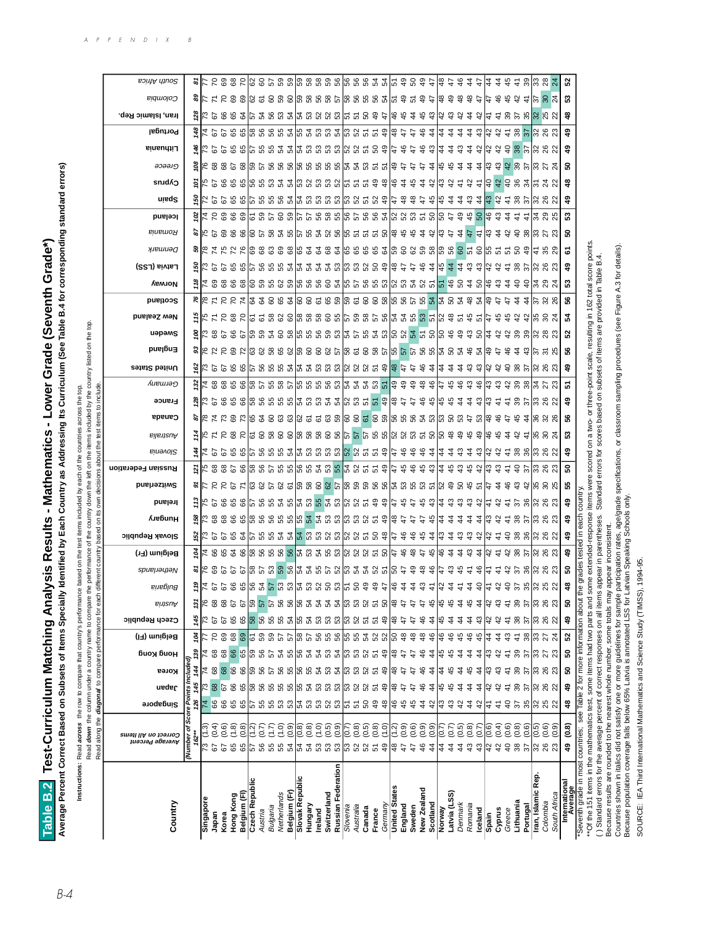Average Percent Correct Based on Subsets of Items Specially Identified by Each Country as Addressing Its Curriculum (See Table B.4 for corresponding standard errors) **Average Percent Correct Based on Subsets of Items Specially Identified by Each Country as Addressing Its Curriculum (See Table B.4 for corresponding standard errors)** Table B.2 Test-Curriculum Matching Analysis Results - Mathematics - Lower Grade (Seventh Grade\*) **Table B.2 Test-Curriculum Matching Analysis Results - Mathematics - Lower Grade (Seventh Grade\*)**

Instructions: Read across the row to compare that country's performance based on the test items included by each of the countries across the top. **Instructions:** Read **across** the row to compare that country's performance based on the test items included by each of the countries across the top.

listed on the top. Read **down** the column under a country name to compare the performance of the country down the left on the items included by the country listed on the top. مطابينها أصما  $\ddot{\phantom{0}}$  $\ddot{ }$  $\frac{4}{5}$  $\ddot{\phantom{0}}$ j. Bood days

|                         | j             |
|-------------------------|---------------|
|                         |               |
|                         | :             |
|                         |               |
|                         |               |
| į                       |               |
| ֚֬֕                     |               |
|                         |               |
|                         |               |
|                         |               |
|                         |               |
|                         |               |
|                         | j             |
|                         |               |
|                         | Ě             |
|                         |               |
|                         |               |
|                         |               |
|                         | $\vdots$<br>: |
|                         | î             |
|                         |               |
|                         |               |
|                         |               |
|                         |               |
| <b>Bullet Ball</b>      |               |
|                         | a in a        |
|                         |               |
|                         |               |
|                         |               |
|                         |               |
|                         |               |
|                         |               |
|                         |               |
|                         |               |
| i                       |               |
| $\vdots$<br>;<br>;<br>; | $\vdots$      |
|                         | ١<br>b        |
|                         |               |
| Í                       | ۱<br>١<br>ŕ   |
|                         |               |
|                         |               |
|                         |               |

|                                                                            | Read along the                          | diagonal to compare per |                     |                             |           | Tormance for eac                                                                                                        |                |               |               |                                                                           |                                                                                                                                                    |                                                                  | Ş<br>Ľ                                                                       |             |                      |                 |                                                               |                                                                                     |                             |                                                                                                                                                                                                                                                                                                                     |                                                                          |                  |               |                                                                                                                                                                                                                                                                                                                     |                                                                                                                     |                                                  |                                                                                               |                             |                                                                                      |                                                                                                                                                                                                                                                                                                                                                                                                                                                                                            |                                                        |                                                          |                                                                                          |                                                                 |                                                                                 |              |  |
|----------------------------------------------------------------------------|-----------------------------------------|-------------------------|---------------------|-----------------------------|-----------|-------------------------------------------------------------------------------------------------------------------------|----------------|---------------|---------------|---------------------------------------------------------------------------|----------------------------------------------------------------------------------------------------------------------------------------------------|------------------------------------------------------------------|------------------------------------------------------------------------------|-------------|----------------------|-----------------|---------------------------------------------------------------|-------------------------------------------------------------------------------------|-----------------------------|---------------------------------------------------------------------------------------------------------------------------------------------------------------------------------------------------------------------------------------------------------------------------------------------------------------------|--------------------------------------------------------------------------|------------------|---------------|---------------------------------------------------------------------------------------------------------------------------------------------------------------------------------------------------------------------------------------------------------------------------------------------------------------------|---------------------------------------------------------------------------------------------------------------------|--------------------------------------------------|-----------------------------------------------------------------------------------------------|-----------------------------|--------------------------------------------------------------------------------------|--------------------------------------------------------------------------------------------------------------------------------------------------------------------------------------------------------------------------------------------------------------------------------------------------------------------------------------------------------------------------------------------------------------------------------------------------------------------------------------------|--------------------------------------------------------|----------------------------------------------------------|------------------------------------------------------------------------------------------|-----------------------------------------------------------------|---------------------------------------------------------------------------------|--------------|--|
| Country                                                                    | Correct on All Items<br>Аverage Percent | Singapore               | ueder               | Korea                       | биоу бион | Belgium (FI)                                                                                                            | Czech Republic | Austria       | eue6jng       | spueµəyıəN                                                                | <b>Slovak Republic</b><br>Belgium (Fr)                                                                                                             | <b>Лебипн</b>                                                    | Ireland                                                                      | Switzerland | Russian Federation   | <b>Binevol2</b> | Australia                                                     | Canada                                                                              | France                      | United States<br>Germany                                                                                                                                                                                                                                                                                            | pue <sub>l</sub> 6u∃                                                     | uəpəms           | New Zealand   | <b>Scotland</b>                                                                                                                                                                                                                                                                                                     | Norway                                                                                                              | Latvia (LSS)                                     | Denmark                                                                                       | Romania                     | lceland                                                                              | uisq2                                                                                                                                                                                                                                                                                                                                                                                                                                                                                      | Cyprus                                                 | әэәәлд                                                   | Portugal<br>Lithuania                                                                    | Iran, Islamic Rep.                                              | Colombia                                                                        | South Africa |  |
|                                                                            | (Number of                              | Score Po                |                     | nts Included                |           |                                                                                                                         |                |               |               |                                                                           |                                                                                                                                                    |                                                                  |                                                                              |             |                      |                 |                                                               |                                                                                     |                             |                                                                                                                                                                                                                                                                                                                     |                                                                          |                  |               |                                                                                                                                                                                                                                                                                                                     |                                                                                                                     |                                                  |                                                                                               |                             |                                                                                      |                                                                                                                                                                                                                                                                                                                                                                                                                                                                                            |                                                        |                                                          |                                                                                          |                                                                 |                                                                                 |              |  |
|                                                                            | $162*$                                  | 82                      | 145                 | 144                         |           | 104                                                                                                                     |                |               |               |                                                                           | ë<br>g                                                                                                                                             |                                                                  |                                                                              |             | $\tilde{\mathbf{z}}$ |                 |                                                               |                                                                                     |                             | ë                                                                                                                                                                                                                                                                                                                   |                                                                          | š                |               | ۴                                                                                                                                                                                                                                                                                                                   |                                                                                                                     |                                                  |                                                                                               |                             |                                                                                      | ড়                                                                                                                                                                                                                                                                                                                                                                                                                                                                                         |                                                        | š                                                        | à.                                                                                       |                                                                 |                                                                                 |              |  |
| Singapore                                                                  |                                         | 74                      |                     | $\overline{7}$              |           |                                                                                                                         |                |               |               |                                                                           |                                                                                                                                                    |                                                                  |                                                                              |             |                      |                 |                                                               |                                                                                     |                             |                                                                                                                                                                                                                                                                                                                     |                                                                          |                  |               |                                                                                                                                                                                                                                                                                                                     |                                                                                                                     |                                                  |                                                                                               |                             |                                                                                      |                                                                                                                                                                                                                                                                                                                                                                                                                                                                                            |                                                        |                                                          |                                                                                          |                                                                 |                                                                                 |              |  |
| Japan                                                                      | (0.4)<br>ଚ                              | <b>GG</b>               | 67                  | 68                          |           | $\overline{70}$                                                                                                         | ଚ              | 68            |               |                                                                           |                                                                                                                                                    |                                                                  |                                                                              |             |                      |                 |                                                               |                                                                                     |                             |                                                                                                                                                                                                                                                                                                                     |                                                                          |                  |               |                                                                                                                                                                                                                                                                                                                     |                                                                                                                     |                                                  |                                                                                               |                             |                                                                                      |                                                                                                                                                                                                                                                                                                                                                                                                                                                                                            |                                                        |                                                          |                                                                                          |                                                                 |                                                                                 |              |  |
| Hong Kong<br>Korea                                                         | (0.6)<br>(1.8)<br>67                    | 8<br>65                 |                     | 89<br>8                     | 89<br>89  | $^{\rm 68}$<br>69                                                                                                       | 65<br>67       | 68<br>67      |               |                                                                           |                                                                                                                                                    |                                                                  |                                                                              |             |                      |                 |                                                               |                                                                                     |                             |                                                                                                                                                                                                                                                                                                                     |                                                                          |                  |               |                                                                                                                                                                                                                                                                                                                     |                                                                                                                     |                                                  |                                                                                               |                             |                                                                                      |                                                                                                                                                                                                                                                                                                                                                                                                                                                                                            |                                                        |                                                          |                                                                                          |                                                                 |                                                                                 |              |  |
| Belgium (FI)                                                               | (0.8)<br>65                             | සි                      | 66<br>65            | 8                           | 65        | 69                                                                                                                      |                | 67            |               |                                                                           |                                                                                                                                                    |                                                                  |                                                                              |             |                      |                 |                                                               |                                                                                     |                             |                                                                                                                                                                                                                                                                                                                     |                                                                          |                  |               |                                                                                                                                                                                                                                                                                                                     |                                                                                                                     |                                                  |                                                                                               |                             |                                                                                      |                                                                                                                                                                                                                                                                                                                                                                                                                                                                                            |                                                        |                                                          |                                                                                          |                                                                 |                                                                                 |              |  |
| Czech Republic                                                             | $\frac{2}{3}$<br>57                     | 5                       | န္တ                 |                             | င္ဟာ      | 61                                                                                                                      | $\frac{8}{8}$  | င္ပ           |               |                                                                           |                                                                                                                                                    |                                                                  |                                                                              |             |                      |                 |                                                               |                                                                                     |                             |                                                                                                                                                                                                                                                                                                                     |                                                                          |                  |               |                                                                                                                                                                                                                                                                                                                     |                                                                                                                     |                                                  |                                                                                               |                             |                                                                                      |                                                                                                                                                                                                                                                                                                                                                                                                                                                                                            |                                                        |                                                          |                                                                                          |                                                                 |                                                                                 |              |  |
| Austria                                                                    | (0.7)<br>56                             | ပ္ပ                     | 56                  |                             | 99        |                                                                                                                         |                | 57            |               |                                                                           |                                                                                                                                                    |                                                                  |                                                                              |             |                      |                 |                                                               |                                                                                     |                             |                                                                                                                                                                                                                                                                                                                     |                                                                          |                  |               |                                                                                                                                                                                                                                                                                                                     |                                                                                                                     |                                                  |                                                                                               |                             |                                                                                      |                                                                                                                                                                                                                                                                                                                                                                                                                                                                                            |                                                        |                                                          |                                                                                          |                                                                 |                                                                                 |              |  |
| Bulgaria                                                                   | 75                                      |                         |                     |                             | 5         |                                                                                                                         |                | 57            |               |                                                                           |                                                                                                                                                    |                                                                  |                                                                              |             |                      |                 |                                                               |                                                                                     |                             |                                                                                                                                                                                                                                                                                                                     |                                                                          |                  |               |                                                                                                                                                                                                                                                                                                                     |                                                                                                                     |                                                  |                                                                                               |                             |                                                                                      |                                                                                                                                                                                                                                                                                                                                                                                                                                                                                            |                                                        |                                                          |                                                                                          |                                                                 |                                                                                 |              |  |
| Belgium (Fr)<br>Netherlands                                                | $\frac{6}{2}$<br>55 55                  | ង ឌ ឌ                   | <b>នួន</b> នាំនួននួ | នៃ និង និងនៃ និង និងនាង និង | ್ದ ಜಿ     |                                                                                                                         | 565            | 56            |               | 우 수 레 그 정 또 보 낆 정 걱 잡 와 또 되 <mark>영 업</mark> 정 역 웨 의 의 의 영 의 <sub>역</sub> | ្រូន ខេន ៥  ភូ ខេន ៥ ៥ <mark>៥ </mark> ៥ ៥ ៥ ៥ ៥ ៥ ៥ ៥ ៥ ៥ ៥ ៥ ៥ ៥ ៥<br> < ខេមិន ខេ <mark>មី</mark> ខេមិន <mark>ខេ</mark> មី ដូច ដូច ខេមី ៤ ខេមី ៤ | ្រី និនិនិត្តព្រះ ខ្លួន ខ្លួន ខ្លួន ខ្លួន ខ្លួន ខ្លួន ខ្លួន ខ្លួ | ទី សេខនេនន  ខេននន  ខេន <mark>ន</mark>  ខេត្ត នៅប្រទេស សូន អូន សូន នៅទី ទី នា |             |                      |                 | ទ្ធ ទាន ជន ដាន ដាន នានា ក្នុង នាន នាន នាន នាន នាន នាក្ខ ន ដ ។ | ង  ស្ដី ក្នុង និង អូន សូន ក្នុង ក្នុង សូន ទី ភូមិ សូន ទី ភូមិ សូន ភូមិ សូន ភូមិ សូន |                             | $\frac{3}{2}$ $\frac{1}{2}$ $\frac{1}{2}$ $\frac{1}{2}$ $\frac{1}{2}$ $\frac{1}{2}$ $\frac{1}{2}$ $\frac{1}{2}$ $\frac{1}{2}$ $\frac{1}{2}$ $\frac{1}{2}$ $\frac{1}{2}$ $\frac{1}{2}$ $\frac{1}{2}$ $\frac{1}{2}$ $\frac{1}{2}$ $\frac{1}{2}$ $\frac{1}{2}$ $\frac{1}{2}$ $\frac{1}{2}$ $\frac{1}{2}$ $\frac{1}{2}$ |                                                                          |                  |               | $\frac{1}{5}$ $\frac{1}{7}$ $\frac{1}{7}$ $\frac{1}{7}$ $\frac{1}{7}$ $\frac{1}{7}$ $\frac{1}{7}$ $\frac{1}{7}$ $\frac{1}{7}$ $\frac{1}{7}$ $\frac{1}{7}$ $\frac{1}{7}$ $\frac{1}{7}$ $\frac{1}{7}$ $\frac{1}{7}$ $\frac{1}{7}$ $\frac{1}{7}$ $\frac{1}{7}$ $\frac{1}{7}$ $\frac{1}{7}$ $\frac{1}{7}$ $\frac{1}{7}$ | ដូន្ទ្ទ្ទ្ទ្ទន្ទ្រ្ទ្ទ្ទ្ទ្រ្ទ្ទ្រ្ទ្ទ្រ្ទ្ទ្រ្ទ្ទ្រ្ទ្ទ្រ្ទ្ទ្រ្ទ្ទ្រ្ទ្ទ្រ្ទ្ទ្ទ្រ្ទ្ទ្ទ្រ្ទ្ទ្ទ្រ្ទ្ទ្ទ្រ្ទ្ទ្ទ្ | ង ដូច មិន នានានានាង ដូច ដូច ដូច នានានានានានានានា | និង្គ ដែន ដែលមាន ខេត្ត ទី ខេត្ត ទី ខេត្ត ទី ខេត្ត ទី ខេត្ត ទី ខេត្ត ទី ខេត្ត ទី ខេត្ត ទី មី ដ |                             | $78$ S $38$ S $38$ S $8$ S $32$ S $38$ S $32$ S $32$ S $32$ S $32$ S $32$ S $32$ $7$ |                                                                                                                                                                                                                                                                                                                                                                                                                                                                                            | ក្រ កូន កូន កូន្ត្រ បូន ឬ បូន បូន បូន បូន បូន ដូច ។ ដូ |                                                          | ង ១ ៦ ១ ២ ២ ២ ១ ២ ១ ២ ១ ១ ១ ១ ១ ១ ១ ១ ២<br>ដ្ឋ មាន ឧ ដ ន នាន ន ន ន ន ន ន ។ សាន ន ន ន ន ន |                                                                 | <b>ន្ទ្រា</b> ង មិន ចំនាំង ចំនួន ចំនួន នាង នាង នាង និង និង នានាននានានានា នាង នា |              |  |
| Slovak Republic                                                            | (0.8)                                   |                         |                     |                             |           |                                                                                                                         |                |               |               |                                                                           |                                                                                                                                                    |                                                                  |                                                                              |             |                      |                 |                                                               |                                                                                     |                             |                                                                                                                                                                                                                                                                                                                     |                                                                          |                  |               |                                                                                                                                                                                                                                                                                                                     |                                                                                                                     |                                                  |                                                                                               |                             |                                                                                      |                                                                                                                                                                                                                                                                                                                                                                                                                                                                                            |                                                        |                                                          |                                                                                          |                                                                 |                                                                                 |              |  |
| Hungary                                                                    | (0.8)                                   |                         |                     |                             | ೫ ಸ       |                                                                                                                         |                | $\frac{6}{3}$ |               |                                                                           |                                                                                                                                                    |                                                                  |                                                                              |             |                      |                 |                                                               |                                                                                     |                             |                                                                                                                                                                                                                                                                                                                     |                                                                          |                  |               |                                                                                                                                                                                                                                                                                                                     |                                                                                                                     |                                                  |                                                                                               |                             |                                                                                      |                                                                                                                                                                                                                                                                                                                                                                                                                                                                                            |                                                        |                                                          |                                                                                          |                                                                 |                                                                                 |              |  |
| Ireland                                                                    | (1.0)<br>35333                          | នៃជននៅគ្រងនៅ            |                     |                             | 2         | $\frac{18}{8}$ $\frac{18}{8}$ $\frac{18}{8}$ $\frac{18}{8}$ $\frac{18}{8}$ $\frac{18}{8}$ $\frac{18}{8}$ $\frac{18}{8}$ | ន ដ ន          |               |               |                                                                           |                                                                                                                                                    |                                                                  |                                                                              |             |                      |                 |                                                               |                                                                                     |                             |                                                                                                                                                                                                                                                                                                                     |                                                                          |                  |               |                                                                                                                                                                                                                                                                                                                     |                                                                                                                     |                                                  |                                                                                               |                             |                                                                                      |                                                                                                                                                                                                                                                                                                                                                                                                                                                                                            |                                                        |                                                          |                                                                                          |                                                                 |                                                                                 |              |  |
| Switzerland                                                                | (0.5)                                   |                         |                     |                             | £3        |                                                                                                                         |                | 54            |               |                                                                           |                                                                                                                                                    |                                                                  |                                                                              |             |                      |                 |                                                               |                                                                                     |                             |                                                                                                                                                                                                                                                                                                                     |                                                                          |                  |               |                                                                                                                                                                                                                                                                                                                     |                                                                                                                     |                                                  |                                                                                               |                             |                                                                                      |                                                                                                                                                                                                                                                                                                                                                                                                                                                                                            |                                                        |                                                          |                                                                                          |                                                                 |                                                                                 |              |  |
| Russian Federation                                                         | (0.9)                                   |                         | 53                  |                             | ង ឌឌឧ ន   |                                                                                                                         | ន ន ន          | 54            |               |                                                                           |                                                                                                                                                    |                                                                  |                                                                              |             |                      |                 |                                                               |                                                                                     |                             |                                                                                                                                                                                                                                                                                                                     |                                                                          |                  |               |                                                                                                                                                                                                                                                                                                                     |                                                                                                                     |                                                  |                                                                                               |                             |                                                                                      |                                                                                                                                                                                                                                                                                                                                                                                                                                                                                            |                                                        |                                                          |                                                                                          |                                                                 |                                                                                 |              |  |
| Slovenia                                                                   | $\leq$<br>នៃ ន ន ក ទ                    |                         | ြို့                |                             |           |                                                                                                                         |                | ြို့          |               |                                                                           |                                                                                                                                                    |                                                                  |                                                                              |             |                      |                 |                                                               |                                                                                     |                             |                                                                                                                                                                                                                                                                                                                     |                                                                          |                  |               |                                                                                                                                                                                                                                                                                                                     |                                                                                                                     |                                                  |                                                                                               |                             |                                                                                      |                                                                                                                                                                                                                                                                                                                                                                                                                                                                                            |                                                        |                                                          |                                                                                          |                                                                 |                                                                                 |              |  |
| Australia                                                                  | (0.8)                                   |                         | 5255                |                             |           |                                                                                                                         | 52             | 53            |               |                                                                           |                                                                                                                                                    |                                                                  |                                                                              |             |                      |                 |                                                               |                                                                                     |                             |                                                                                                                                                                                                                                                                                                                     |                                                                          |                  |               |                                                                                                                                                                                                                                                                                                                     |                                                                                                                     |                                                  |                                                                                               |                             |                                                                                      |                                                                                                                                                                                                                                                                                                                                                                                                                                                                                            |                                                        |                                                          |                                                                                          |                                                                 |                                                                                 |              |  |
| Canada                                                                     | $\overline{0}.5$                        |                         |                     |                             |           |                                                                                                                         | 55             | $52\,$        |               |                                                                           |                                                                                                                                                    |                                                                  |                                                                              |             |                      |                 |                                                               |                                                                                     |                             |                                                                                                                                                                                                                                                                                                                     |                                                                          |                  |               |                                                                                                                                                                                                                                                                                                                     |                                                                                                                     |                                                  |                                                                                               |                             |                                                                                      |                                                                                                                                                                                                                                                                                                                                                                                                                                                                                            |                                                        |                                                          |                                                                                          |                                                                 |                                                                                 |              |  |
| France                                                                     | (0.8)                                   | අ                       |                     |                             |           |                                                                                                                         |                | 57            |               |                                                                           |                                                                                                                                                    |                                                                  |                                                                              |             |                      |                 |                                                               |                                                                                     |                             |                                                                                                                                                                                                                                                                                                                     |                                                                          |                  |               |                                                                                                                                                                                                                                                                                                                     |                                                                                                                     |                                                  |                                                                                               |                             |                                                                                      |                                                                                                                                                                                                                                                                                                                                                                                                                                                                                            |                                                        |                                                          |                                                                                          |                                                                 |                                                                                 |              |  |
| Germany                                                                    |                                         | 육                       | $\frac{9}{4}$       | අ                           | ဒ္        |                                                                                                                         | $\frac{9}{4}$  |               |               |                                                                           |                                                                                                                                                    |                                                                  |                                                                              |             |                      |                 |                                                               |                                                                                     |                             |                                                                                                                                                                                                                                                                                                                     |                                                                          |                  |               |                                                                                                                                                                                                                                                                                                                     |                                                                                                                     |                                                  |                                                                                               |                             |                                                                                      |                                                                                                                                                                                                                                                                                                                                                                                                                                                                                            |                                                        |                                                          |                                                                                          |                                                                 |                                                                                 |              |  |
| <b>United States</b><br>England                                            | (0.9)<br>¦≌<br>$\ddot{t}$               | 19<br>유                 | 18                  |                             |           | $\frac{8}{4}$<br>န္တ                                                                                                    | 1#<br>Æ        |               |               |                                                                           | မှ<br>IЭ                                                                                                                                           |                                                                  |                                                                              |             |                      |                 |                                                               |                                                                                     |                             |                                                                                                                                                                                                                                                                                                                     |                                                                          |                  |               |                                                                                                                                                                                                                                                                                                                     |                                                                                                                     |                                                  |                                                                                               |                             |                                                                                      |                                                                                                                                                                                                                                                                                                                                                                                                                                                                                            |                                                        |                                                          |                                                                                          |                                                                 |                                                                                 |              |  |
| Sweden                                                                     | (0.6)<br>$\ddot{t}$                     | $\frac{4}{5}$           | t,                  |                             |           | $\frac{8}{4}$                                                                                                           | f,             |               |               |                                                                           | $\frac{8}{4}$                                                                                                                                      |                                                                  |                                                                              |             |                      |                 |                                                               |                                                                                     |                             |                                                                                                                                                                                                                                                                                                                     |                                                                          |                  |               |                                                                                                                                                                                                                                                                                                                     |                                                                                                                     |                                                  |                                                                                               |                             |                                                                                      |                                                                                                                                                                                                                                                                                                                                                                                                                                                                                            |                                                        | $\frac{4}{7}$                                            | はさき                                                                                      |                                                                 |                                                                                 |              |  |
| New Zealand                                                                | (0.9)<br>$\frac{6}{5}$                  | $\ddot{4}$              | ड़                  |                             | क्ष       | 48                                                                                                                      | ड़             |               |               |                                                                           | $\frac{4}{5}$<br>$\frac{4}{7}$                                                                                                                     | t,                                                               |                                                                              |             |                      |                 |                                                               |                                                                                     |                             | $\frac{8}{4}$                                                                                                                                                                                                                                                                                                       |                                                                          |                  |               |                                                                                                                                                                                                                                                                                                                     |                                                                                                                     |                                                  |                                                                                               |                             |                                                                                      | $\hat{t}$                                                                                                                                                                                                                                                                                                                                                                                                                                                                                  |                                                        | $\ddot{t}$                                               | $\frac{6}{5}$                                                                            |                                                                 |                                                                                 |              |  |
| Scotland                                                                   | (0.9)<br>$\ddot{4}$                     | a,                      | $\frac{4}{4}$       | 4                           | 4         | 46                                                                                                                      | 4              |               |               | 484                                                                       | $\frac{4}{3}$ । $\frac{4}{3}$<br>45                                                                                                                | $\frac{4}{3}$                                                    |                                                                              |             |                      |                 |                                                               |                                                                                     | $\frac{4}{3}$ $\frac{4}{3}$ | $\frac{6}{4}$                                                                                                                                                                                                                                                                                                       |                                                                          |                  |               |                                                                                                                                                                                                                                                                                                                     |                                                                                                                     |                                                  |                                                                                               | 43 3                        |                                                                                      | स ।स                                                                                                                                                                                                                                                                                                                                                                                                                                                                                       | 국 강                                                    | $\frac{4}{6}$ $\frac{4}{4}$<br>$rac{4}{4}$ $\frac{4}{6}$ |                                                                                          |                                                                 |                                                                                 |              |  |
| Norway                                                                     | (0.7)<br>4                              | ञ्                      |                     | 4                           |           | 46                                                                                                                      | 4              |               |               |                                                                           | $\frac{6}{5}$                                                                                                                                      |                                                                  |                                                                              |             | 14                   |                 |                                                               |                                                                                     |                             | ĻÞ                                                                                                                                                                                                                                                                                                                  |                                                                          |                  |               |                                                                                                                                                                                                                                                                                                                     |                                                                                                                     |                                                  |                                                                                               |                             |                                                                                      |                                                                                                                                                                                                                                                                                                                                                                                                                                                                                            | ¦\$                                                    |                                                          | $\frac{4}{4}$ $\frac{4}{4}$                                                              |                                                                 |                                                                                 |              |  |
| Latvia (LSS)                                                               | (0.7)<br>$\ddot{4}$                     | ఞ                       | 45                  | 유                           | ఛ         | 46                                                                                                                      |                |               |               | ఞ                                                                         | 국 금<br>$\ddot{a}$                                                                                                                                  | $\ddot{a}$                                                       |                                                                              |             | $\frac{45}{4}$       |                 |                                                               |                                                                                     | 유                           |                                                                                                                                                                                                                                                                                                                     |                                                                          |                  |               |                                                                                                                                                                                                                                                                                                                     |                                                                                                                     |                                                  |                                                                                               | $\ddot{r}$                  |                                                                                      | $\ddot{a}$                                                                                                                                                                                                                                                                                                                                                                                                                                                                                 | ₩                                                      | $\ddot{a}$<br>45                                         |                                                                                          |                                                                 |                                                                                 |              |  |
| Denmark                                                                    | (0.5)<br>433                            | ੍ਰ                      | 4                   |                             |           | 46<br>45                                                                                                                |                |               |               | $\frac{15}{4}$                                                            | $\ddot{4}$                                                                                                                                         | $\hat{A}$                                                        |                                                                              |             | 3 4 4 4              |                 |                                                               |                                                                                     | $\ddot{a}$                  | 79999                                                                                                                                                                                                                                                                                                               |                                                                          |                  |               |                                                                                                                                                                                                                                                                                                                     |                                                                                                                     |                                                  |                                                                                               | $\ddot{4}$                  | 948                                                                                  | $\ddot{a}$                                                                                                                                                                                                                                                                                                                                                                                                                                                                                 | 군                                                      | ఞ<br>$\ddot{4}$                                          | $\ddot{4}$                                                                               |                                                                 |                                                                                 |              |  |
| Romania<br>Iceland                                                         | (0.8)<br>(0.7)                          | $\ddot{a}$<br>A,        | 4<br>4              | 유<br>4                      |           | 45                                                                                                                      | ź<br>क्ष       |               |               | $\frac{6}{4}$<br>$\frac{4}{7}$                                            | 유 상<br>ఞ<br>$\ddot{4}$                                                                                                                             | $\hat{A}$<br>$\dot{A}$                                           |                                                                              |             |                      | र स             | 1유 유                                                          |                                                                                     | 국 끊                         |                                                                                                                                                                                                                                                                                                                     |                                                                          |                  |               |                                                                                                                                                                                                                                                                                                                     |                                                                                                                     |                                                  |                                                                                               | $\ddot{t}$<br>$\frac{4}{7}$ |                                                                                      | 34                                                                                                                                                                                                                                                                                                                                                                                                                                                                                         | 유<br>$\frac{4}{7}$                                     | 44                                                       | $\ddot{a}$<br>ఞ                                                                          |                                                                 |                                                                                 |              |  |
| Spain                                                                      | (0.6)                                   | 근                       |                     |                             |           |                                                                                                                         |                |               |               | 도                                                                         | ₩                                                                                                                                                  |                                                                  |                                                                              |             | ¦⊕                   |                 |                                                               |                                                                                     | 13                          | ¦ಿ                                                                                                                                                                                                                                                                                                                  |                                                                          |                  |               |                                                                                                                                                                                                                                                                                                                     |                                                                                                                     |                                                  |                                                                                               |                             |                                                                                      |                                                                                                                                                                                                                                                                                                                                                                                                                                                                                            |                                                        |                                                          |                                                                                          |                                                                 |                                                                                 |              |  |
| Cyprus                                                                     | (0.4)<br>3.38                           | $\frac{4}{7}$           |                     |                             |           | 4                                                                                                                       |                |               |               | 두                                                                         | $\frac{4}{7}$                                                                                                                                      | ಇ ಇ                                                              |                                                                              | $\hat{A}$   | ఞ                    | I& &            | မြှ မှ                                                        | $\frac{6}{4}$                                                                       | 군                           | ఞ                                                                                                                                                                                                                                                                                                                   |                                                                          |                  | $\frac{4}{5}$ |                                                                                                                                                                                                                                                                                                                     |                                                                                                                     | $331377$ $433137$                                |                                                                                               | lst 4                       | 'ಱ ೞ                                                                                 |                                                                                                                                                                                                                                                                                                                                                                                                                                                                                            |                                                        | ಇ ಇ                                                      | 13 강                                                                                     |                                                                 |                                                                                 |              |  |
| Greece                                                                     | (0.6)                                   | ੩                       | 4                   |                             |           | 43                                                                                                                      | $\hat{r}$      |               |               |                                                                           | $\frac{5}{4}$                                                                                                                                      | $\frac{4}{7}$                                                    |                                                                              | ச           | $\frac{4}{7}$        |                 | $\dot{z}$                                                     | t+                                                                                  |                             |                                                                                                                                                                                                                                                                                                                     | ச                                                                        | 5t               | $\frac{6}{4}$ | t+                                                                                                                                                                                                                                                                                                                  |                                                                                                                     |                                                  |                                                                                               | ਼                           | $\ddot{a}$                                                                           |                                                                                                                                                                                                                                                                                                                                                                                                                                                                                            |                                                        | $\theta$<br>$\frac{2}{4}$                                |                                                                                          |                                                                 | 43                                                                              |              |  |
| Lithuania                                                                  | (0.8)                                   |                         | 39                  | 39                          | 39        | $\frac{4}{3}$                                                                                                           | 38             | 39            |               |                                                                           |                                                                                                                                                    |                                                                  |                                                                              |             |                      |                 | ₩                                                             | 45                                                                                  |                             |                                                                                                                                                                                                                                                                                                                     |                                                                          |                  |               | $\ddot{4}$                                                                                                                                                                                                                                                                                                          |                                                                                                                     |                                                  |                                                                                               |                             | $\tilde{t}$                                                                          |                                                                                                                                                                                                                                                                                                                                                                                                                                                                                            |                                                        |                                                          |                                                                                          |                                                                 |                                                                                 |              |  |
| Portugal                                                                   | (0.6)                                   |                         | $\approx$           |                             |           | $38\,$                                                                                                                  | $\approx$      | 57            |               |                                                                           |                                                                                                                                                    |                                                                  |                                                                              |             |                      |                 |                                                               |                                                                                     |                             |                                                                                                                                                                                                                                                                                                                     |                                                                          |                  |               |                                                                                                                                                                                                                                                                                                                     |                                                                                                                     |                                                  |                                                                                               |                             |                                                                                      |                                                                                                                                                                                                                                                                                                                                                                                                                                                                                            |                                                        |                                                          |                                                                                          |                                                                 | $\frac{4}{7}$                                                                   |              |  |
| Iran, Islamic Rep                                                          | 6.6)<br>19                              |                         |                     |                             |           |                                                                                                                         | ြို့           | 33            |               |                                                                           |                                                                                                                                                    |                                                                  |                                                                              |             |                      |                 |                                                               |                                                                                     |                             |                                                                                                                                                                                                                                                                                                                     |                                                                          |                  |               |                                                                                                                                                                                                                                                                                                                     |                                                                                                                     |                                                  |                                                                                               |                             |                                                                                      |                                                                                                                                                                                                                                                                                                                                                                                                                                                                                            |                                                        |                                                          |                                                                                          |                                                                 |                                                                                 |              |  |
| Colombia                                                                   | ន ន នៃ ន ន                              | ន នាន ន នា              | 383                 |                             | ភ $ 322$  | ន្ត្រ ង $\frac{1}{2}$                                                                                                   | 88             | 26            |               | $75.88$ $8.81$                                                            | ន ន <b>្តន្ត្រី</b> និង និ                                                                                                                         | នគននេន                                                           | $7588$ $880$                                                                 |             | 9.5888               | $7.888$ $8.81$  | 1 2 2 2 2 2                                                   | $4\%$ $\%$ $\%$                                                                     | $= $ ន នានី ខេ នា           | # # # # # # # # #<br>$7.88$ $\frac{11}{2}$ $5.3$                                                                                                                                                                                                                                                                    | $\frac{4}{3}$ $\frac{6}{3}$ $\frac{16}{5}$ $\frac{16}{5}$ $\frac{16}{5}$ | ន នាន្ត្រី នី ដា |               | $\frac{4}{5}$ $\frac{1}{2}$ $\frac{3}{8}$ $\frac{8}{8}$                                                                                                                                                                                                                                                             |                                                                                                                     |                                                  |                                                                                               | ទី ឌីន្រ្តី ខ្លះ            | $\pm$ 12 2 2 2                                                                       | $   \nabla \cdot \nabla \cdot \nabla \cdot \nabla \cdot \nabla \cdot \nabla \cdot \nabla \cdot \nabla \cdot \nabla \cdot \nabla \cdot \nabla \cdot \nabla \cdot \nabla \cdot \nabla \cdot \nabla \cdot \nabla \cdot \nabla \cdot \nabla \cdot \nabla \cdot \nabla \cdot \nabla \cdot \nabla \cdot \nabla \cdot \nabla \cdot \nabla \cdot \nabla \cdot \nabla \cdot \nabla \cdot \nabla \cdot \nabla \cdot \nabla \cdot \nabla \cdot \nabla \cdot \nabla \cdot \nabla \cdot \nabla \cdot \$ |                                                        | 85888<br>3537                                            | 7858                                                                                     | <u> 14 14 30 12 12 12 12 12 14 14 14 14 14 14 14 15 16 17 1</u> | <u>ន្ត្រ ន្ត្រ</u>                                                              |              |  |
| South Africa                                                               | (0.9)                                   |                         |                     |                             |           |                                                                                                                         |                |               |               |                                                                           |                                                                                                                                                    |                                                                  |                                                                              |             |                      |                 |                                                               |                                                                                     |                             |                                                                                                                                                                                                                                                                                                                     |                                                                          |                  |               |                                                                                                                                                                                                                                                                                                                     |                                                                                                                     |                                                  |                                                                                               |                             |                                                                                      |                                                                                                                                                                                                                                                                                                                                                                                                                                                                                            |                                                        |                                                          |                                                                                          |                                                                 |                                                                                 |              |  |
| International<br>Average                                                   | $\overline{6}$<br>\$                    | $\ddot{a}$              | $\ddot{ }$          | ន                           | ន         | 52                                                                                                                      | \$             |               | $\frac{a}{2}$ | ន                                                                         | \$<br>$\frac{9}{4}$                                                                                                                                | ဒ္                                                               | \$                                                                           | ಜಿ          | SO                   | ą               | ິຜ                                                            | န္တ                                                                                 | ဒ္ဒ                         | ą<br>5                                                                                                                                                                                                                                                                                                              | ន                                                                        | S <sub>2</sub>   | 3             | န္တ                                                                                                                                                                                                                                                                                                                 | ິຜ                                                                                                                  | ဒ္                                               | డ్                                                                                            | ន                           | ន                                                                                    | ą                                                                                                                                                                                                                                                                                                                                                                                                                                                                                          | ड़                                                     | င္စ                                                      | ន្<br>ន្                                                                                 | \$                                                              | ິຜ                                                                              | ន            |  |
| "Seventh grade in most countries; see Table 2 for more information about t |                                         |                         |                     |                             |           |                                                                                                                         |                |               | ρ             |                                                                           | grades tested in each country.                                                                                                                     |                                                                  |                                                                              |             |                      |                 |                                                               |                                                                                     |                             |                                                                                                                                                                                                                                                                                                                     |                                                                          |                  |               |                                                                                                                                                                                                                                                                                                                     |                                                                                                                     |                                                  |                                                                                               |                             |                                                                                      |                                                                                                                                                                                                                                                                                                                                                                                                                                                                                            |                                                        |                                                          |                                                                                          |                                                                 |                                                                                 |              |  |

"Of the 151 liems in the mathematics test, some items had two parts and some extended-response items were scored on a two- or three-point scale, resulting in 162 total score points. \*\*Of the 151 items in the mathematics test, some items had two parts and some extended-response items were scored on a two- or three-point scale, resulting in 162 total score points. ( ) Standard errors for the average percent of correct responses on all items appear in parentheses. Standard errors for scores based on subsets of items are provided in Table B.4. () Standard errors for the average percent of correct responses on all items appear in parentheses. Standard errors for scores based on subsets of items are provided in Table B.4.

Because results are rounded to the nearest whole number, some totals may appear inconsistent. Because results are rounded to the nearest whole number, some totals may appear inconsistent.

Countries shown in italics did not satisfy one or more guidelines for sample participation rates, age/grade specifications, or classroom sampling procedures (see Figure A.3 for details).<br>Because population coverage falls b Countries shown in italics did not satisfy one or more guidelines for sample participation rates, age/grade specifications, or classroom sampling procedures (see Figure A.3 for details). Because population coverage falls below 65% Latvia is annotated LSS for Latvian Speaking Schools only.

SOURCE: IEA Third International Mathematics and Science Study (TIMSS), 1994-95. SOURCE: IEA Third International Mathematics and Science Study (TIMSS), 1994-95.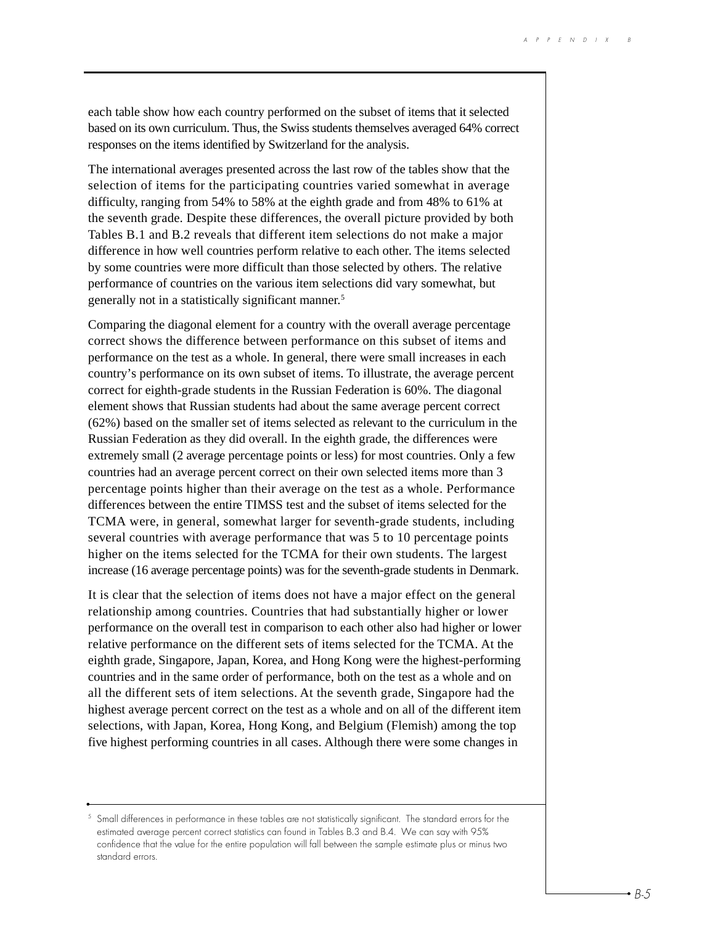each table show how each country performed on the subset of items that it selected based on its own curriculum. Thus, the Swiss students themselves averaged 64% correct responses on the items identified by Switzerland for the analysis.

The international averages presented across the last row of the tables show that the selection of items for the participating countries varied somewhat in average difficulty, ranging from 54% to 58% at the eighth grade and from 48% to 61% at the seventh grade. Despite these differences, the overall picture provided by both Tables B.1 and B.2 reveals that different item selections do not make a major difference in how well countries perform relative to each other. The items selected by some countries were more difficult than those selected by others. The relative performance of countries on the various item selections did vary somewhat, but generally not in a statistically significant manner.5

Comparing the diagonal element for a country with the overall average percentage correct shows the difference between performance on this subset of items and performance on the test as a whole. In general, there were small increases in each country's performance on its own subset of items. To illustrate, the average percent correct for eighth-grade students in the Russian Federation is 60%. The diagonal element shows that Russian students had about the same average percent correct (62%) based on the smaller set of items selected as relevant to the curriculum in the Russian Federation as they did overall. In the eighth grade, the differences were extremely small (2 average percentage points or less) for most countries. Only a few countries had an average percent correct on their own selected items more than 3 percentage points higher than their average on the test as a whole. Performance differences between the entire TIMSS test and the subset of items selected for the TCMA were, in general, somewhat larger for seventh-grade students, including several countries with average performance that was 5 to 10 percentage points higher on the items selected for the TCMA for their own students. The largest increase (16 average percentage points) was for the seventh-grade students in Denmark.

It is clear that the selection of items does not have a major effect on the general relationship among countries. Countries that had substantially higher or lower performance on the overall test in comparison to each other also had higher or lower relative performance on the different sets of items selected for the TCMA. At the eighth grade, Singapore, Japan, Korea, and Hong Kong were the highest-performing countries and in the same order of performance, both on the test as a whole and on all the different sets of item selections. At the seventh grade, Singapore had the highest average percent correct on the test as a whole and on all of the different item selections, with Japan, Korea, Hong Kong, and Belgium (Flemish) among the top five highest performing countries in all cases. Although there were some changes in

 $5$  Small differences in performance in these tables are not statistically significant. The standard errors for the estimated average percent correct statistics can found in Tables B.3 and B.4. We can say with 95% confidence that the value for the entire population will fall between the sample estimate plus or minus two standard errors.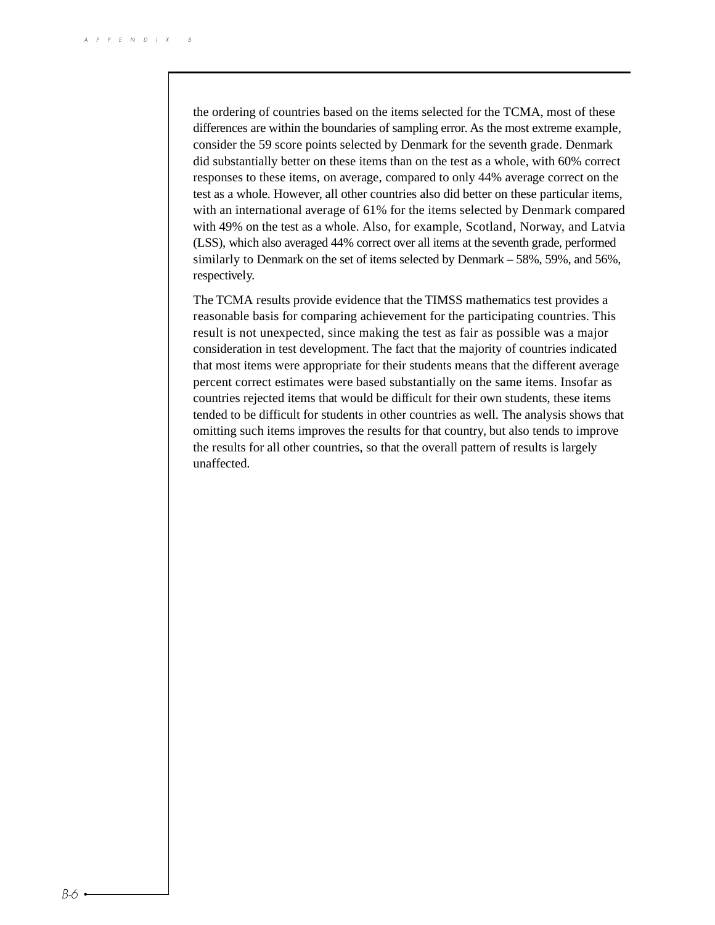the ordering of countries based on the items selected for the TCMA, most of these differences are within the boundaries of sampling error. As the most extreme example, consider the 59 score points selected by Denmark for the seventh grade. Denmark did substantially better on these items than on the test as a whole, with 60% correct responses to these items, on average, compared to only 44% average correct on the test as a whole. However, all other countries also did better on these particular items, with an international average of 61% for the items selected by Denmark compared with 49% on the test as a whole. Also, for example, Scotland, Norway, and Latvia (LSS), which also averaged 44% correct over all items at the seventh grade, performed similarly to Denmark on the set of items selected by Denmark – 58%, 59%, and 56%, respectively.

The TCMA results provide evidence that the TIMSS mathematics test provides a reasonable basis for comparing achievement for the participating countries. This result is not unexpected, since making the test as fair as possible was a major consideration in test development. The fact that the majority of countries indicated that most items were appropriate for their students means that the different average percent correct estimates were based substantially on the same items. Insofar as countries rejected items that would be difficult for their own students, these items tended to be difficult for students in other countries as well. The analysis shows that omitting such items improves the results for that country, but also tends to improve the results for all other countries, so that the overall pattern of results is largely unaffected.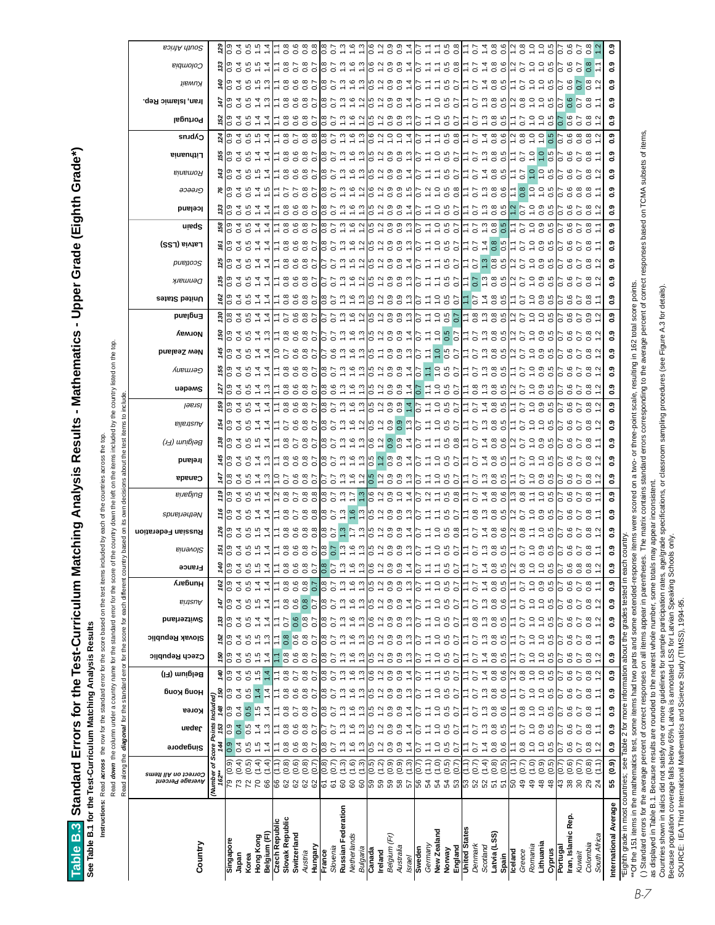Table B.3 Standard Errors for the Test-Curriculum Matching Analysis Results - Mathematics - Upper Grade (Eighth Grade\*) **Table B.3 Standard Errors for the Test-Curriculum Matching Analysis Results - Mathematics - Upper Grade (Eighth Grade\*)**

See Table B.1 for the Test-Curriculum Matching Analysis Results **See Table B.1 for the Test-Curriculum Matching Analysis Results**

Instructions: Read across the row for the standard error for the score based on the test items included by each of the countries across the top. **Instructions:** Read **across** the row for the standard error for the score based on the test items included by each of the countries across the top.

Read down the column under a country name for the standard error for the score of the country down the left on the items included by the country listed on the top. Read **down** the column under a country name for the standard error for the score of the country down the left on the items included by the country listed on the top. obout the test items to include ૣ atri bacad on ito dard error for the score for each differe Read along the *diagonal* for the star

|                                                                                                   | Read along the <i>diagonal</i> for the standard error for the score for each different coun |                                      |                                                         |                                      |                                      |                             |                         |                                 |                                                  |                                                       |                             | 5<br>based                        | own                                                            | decisions | about the                                                                                                               |                                                                                                                                                                                                                          | test items                                                                      | include<br>₽           |                                                  |                                                                     |                                                                                                                   |                                   |                                                      |                                                                                                                                 |                                                                                                                 |                                                                            |                                      |                                                                                                                 |                                                                  |                                                                                                                             |                                                   |                                                                                                                                      |                    |                                                                          |                                                                                           |                 |
|---------------------------------------------------------------------------------------------------|---------------------------------------------------------------------------------------------|--------------------------------------|---------------------------------------------------------|--------------------------------------|--------------------------------------|-----------------------------|-------------------------|---------------------------------|--------------------------------------------------|-------------------------------------------------------|-----------------------------|-----------------------------------|----------------------------------------------------------------|-----------|-------------------------------------------------------------------------------------------------------------------------|--------------------------------------------------------------------------------------------------------------------------------------------------------------------------------------------------------------------------|---------------------------------------------------------------------------------|------------------------|--------------------------------------------------|---------------------------------------------------------------------|-------------------------------------------------------------------------------------------------------------------|-----------------------------------|------------------------------------------------------|---------------------------------------------------------------------------------------------------------------------------------|-----------------------------------------------------------------------------------------------------------------|----------------------------------------------------------------------------|--------------------------------------|-----------------------------------------------------------------------------------------------------------------|------------------------------------------------------------------|-----------------------------------------------------------------------------------------------------------------------------|---------------------------------------------------|--------------------------------------------------------------------------------------------------------------------------------------|--------------------|--------------------------------------------------------------------------|-------------------------------------------------------------------------------------------|-----------------|
| Country                                                                                           | Correct on All Items<br>Аverage Percent                                                     | Singapore                            | ueder                                                   | виоу вион<br>Korea                   | Belgium (FI)                         | Czech Republic              | Slovak Republic         | Switzerland                     | Austria                                          | <b>AuebunH</b>                                        | Slovenia<br>France          | Russian Federation                | spueµəyıəN                                                     | Bulgaria  | Canada                                                                                                                  | Belgium (Fr)<br>Ireland                                                                                                                                                                                                  | Australia                                                                       | ləsisl                 | uəpəms                                           | лиешлә $\mathfrak o$                                                | New Zealand                                                                                                       | Veway                             | <b>Dusign3</b>                                       | улешиә $\sigma$<br>United States                                                                                                | pueµoos                                                                                                         | Latvia (LSS)                                                               | uisqe                                | lceland                                                                                                         | ခ၁ခခ၊၅                                                           | Romania                                                                                                                     | Cyprus<br>Lithuania                               | Portugal                                                                                                                             | Iran, Islamic Rep. | џемпу                                                                    | Colombia                                                                                  | South Africa    |
|                                                                                                   | ð,<br>(Number<br>162**                                                                      | å<br>Score I<br>144                  | ints<br>153                                             | Included)<br>148 150                 | 140                                  | 150                         | 152                     | 133                             | 147                                              | 162                                                   | 140                         |                                   |                                                                |           |                                                                                                                         |                                                                                                                                                                                                                          |                                                                                 |                        |                                                  |                                                                     |                                                                                                                   |                                   |                                                      |                                                                                                                                 |                                                                                                                 |                                                                            |                                      |                                                                                                                 |                                                                  |                                                                                                                             |                                                   |                                                                                                                                      |                    |                                                                          |                                                                                           |                 |
| Singapore                                                                                         | $\sqrt{0.9}$<br>ನ                                                                           | ြီ                                   | ြီ<br>$\overline{0.9}$                                  | $\overline{0.9}$                     | ြီ                                   | ြီ                          | ြီ                      | ြီ                              | ြီ                                               | ြီ<br>ြိ                                              |                             |                                   |                                                                |           |                                                                                                                         |                                                                                                                                                                                                                          |                                                                                 |                        |                                                  |                                                                     | $rac{6}{5}$                                                                                                       |                                   |                                                      | lo o                                                                                                                            |                                                                                                                 |                                                                            |                                      |                                                                                                                 |                                                                  |                                                                                                                             |                                                   |                                                                                                                                      | တ္                 |                                                                          |                                                                                           |                 |
| Japan<br>Korea                                                                                    | $(0.4)$<br>$(0.5)$<br>೧                                                                     | $\overline{0.4}$                     | 0.4<br>0.5<br>0.4<br>$\frac{1}{2}$                      | 0.4<br>0.5                           | 0.4<br>0.5                           | 0.4<br>0.5                  | 0.4                     | 0.5<br>0.4                      | 0.4                                              | 0.4<br>0.5<br>0.4                                     | 5034997<br>0.5              | $28$<br>$29$ $35$ $55$ $77$       | $\frac{66}{10}$ $\frac{62}{10}$ $\frac{62}{10}$ $\frac{1}{10}$ |           | $\circ$ $\circ$ $\circ$ $\sim$<br>$\frac{4}{5}$   $\frac{6}{5}$ $\frac{2}{5}$ $\frac{6}{5}$ $\frac{7}{5}$ $\frac{7}{5}$ | $\frac{8}{2}$ $\frac{8}{2}$ $\frac{8}{2}$ $\frac{8}{2}$ $\frac{8}{2}$ $\frac{8}{2}$<br> o o o –<br>$\frac{5}{6}$ $\frac{10}{6}$ $\frac{2}{4}$ $\frac{10}{6}$ $\frac{4}{4}$ $\frac{10}{6}$                                | 283277                                                                          | 503777                 | 203527                                           | $\frac{500}{50}$ $\frac{300}{50}$ $\frac{300}{50}$ $\frac{400}{50}$ | <u>न ए न न</u>                                                                                                    | ပြီးခြင်္ခြင်္                    | 583377<br>ಂಂ -                                       | $58$ $35377$<br>203327                                                                                                          | $\frac{8}{2}$ $\frac{8}{2}$ $\frac{3}{2}$ $\frac{4}{2}$ $\frac{5}{2}$ $\frac{6}{2}$ $\frac{4}{2}$ $\frac{4}{2}$ | 603977                                                                     | $28$ $2322$<br> oi oi <del>c</del> i | $\omega$ 4 $\omega$ 4 $\omega$<br>$\circ$ $\circ$ $\cdot$ $\cdot$                                               | $6$ $\omega$ $\vec{a}$ $\vec{a}$ $\vec{a}$ $\vec{a}$<br>0000     | $\frac{45}{9}$ 0 3 5 9<br>$\frac{4}{3}$ $\frac{6}{9}$ $\frac{2}{4}$ $\frac{6}{9}$ $\frac{6}{4}$ $\frac{6}{9}$ $\frac{7}{4}$ | o o o – –<br>न ए न न                              | 2034977<br>$\frac{7}{2}$ $\frac{10}{2}$ $\frac{7}{2}$ $\frac{10}{2}$ $\frac{10}{2}$ $\frac{1}{2}$                                    | $0.040$<br>$0.404$ | $\frac{3}{2}$ $\frac{10}{2}$ $\frac{7}{2}$ $\frac{10}{2}$ $\frac{10}{2}$ | $\frac{30}{2}$ $\frac{30}{2}$ $\frac{40}{2}$ $\frac{40}{2}$ $\frac{40}{2}$ $\frac{40}{2}$ |                 |
|                                                                                                   | (1.4)<br>$RR$ 8                                                                             | $0, 0, 4$<br>$-7, 0$                 |                                                         | 1.4                                  | 1.5                                  |                             | $0.5$ $0.5$ $0.3$       | 1.4                             | $0, 0, 4$<br>$-7, 0$                             |                                                       |                             |                                   |                                                                |           |                                                                                                                         |                                                                                                                                                                                                                          |                                                                                 |                        |                                                  |                                                                     |                                                                                                                   |                                   |                                                      |                                                                                                                                 |                                                                                                                 |                                                                            |                                      |                                                                                                                 |                                                                  |                                                                                                                             |                                                   |                                                                                                                                      |                    |                                                                          |                                                                                           |                 |
| Hong Kong<br>Belgium (Fl)                                                                         | (1.4)                                                                                       |                                      | $\frac{1}{10}$ 4<br>$rac{4}{4}$ $rac{3}{4}$             | 1.4                                  | 1.4                                  | $\frac{1}{1}$ $\frac{1}{4}$ |                         | 1.4                             |                                                  | $\frac{1}{4}$ $\frac{1}{4}$                           | $\frac{1}{2}$ $\frac{4}{4}$ |                                   |                                                                |           |                                                                                                                         |                                                                                                                                                                                                                          |                                                                                 |                        |                                                  |                                                                     |                                                                                                                   |                                   |                                                      |                                                                                                                                 |                                                                                                                 |                                                                            |                                      |                                                                                                                 |                                                                  |                                                                                                                             |                                                   |                                                                                                                                      |                    |                                                                          |                                                                                           |                 |
| Slovak Republic<br>Czech Republic                                                                 | $\widetilde{(-1)}$<br>(0.8)<br>88888                                                        | Ξ<br>$\ddot{\circ}$                  | 0.8<br>$\ddot{ }$<br>0.8                                | $0.\overline{8}$<br>Ξ                | $0.\overline{8}$                     | $\frac{8}{10}$<br>Ξ         | 0.8<br>$\ddot{ }$       | 0.7<br>Ξ                        | $0.\overline{8}$<br>Ξ                            | $0.\overline{8}$<br>$\tilde{=}$<br>$0.\overline{8}$   |                             | — စီ စီ စီ စီ<br>— ၁ ၁ ၁ ၁        | 18788<br>1979                                                  |           | $\div$ 0000                                                                                                             | 28287<br>1950<br>$\overline{\phantom{a}}$ $\overline{\phantom{a}}$ $\overline{\phantom{a}}$ $\overline{\phantom{a}}$ $\overline{\phantom{a}}$ $\overline{\phantom{a}}$ $\overline{\phantom{a}}$ $\overline{\phantom{a}}$ | 1885<br>1986<br>1                                                               | 는 8 9 8 5<br>는 8 9 8 5 | $7.8880$<br>$7.80087$                            | 18687<br>1969                                                       | 48824<br>00000                                                                                                    | $\frac{1}{1}$ 8 9 9 9 1           | 2000017<br>100001                                    | 18887<br>19000<br>$7.8880$<br>$7.80087$                                                                                         | 18687<br>1969                                                                                                   | 18887<br>19000                                                             | 18687<br>1969                        | 7.8887                                                                                                          | 58557                                                            | 18987<br>1999                                                                                                               | 7.8788<br>18887<br>19000                          | 18887<br>19000                                                                                                                       | 18687<br>19695     | 18887<br>1999                                                            | 28287<br>1950                                                                             |                 |
| Switzerland                                                                                       | (0.8)                                                                                       | 0.8                                  | 0.7<br>0.6                                              | 0.6                                  | $\overline{0.7}$                     | 0.8                         | $\frac{6}{0}$ 8         | 0.6                             | 0.6                                              | 0.8<br>0.6                                            |                             |                                   |                                                                |           |                                                                                                                         |                                                                                                                                                                                                                          |                                                                                 |                        |                                                  |                                                                     |                                                                                                                   |                                   |                                                      |                                                                                                                                 |                                                                                                                 |                                                                            |                                      |                                                                                                                 |                                                                  |                                                                                                                             |                                                   |                                                                                                                                      |                    |                                                                          |                                                                                           |                 |
| Hungary<br>Austria                                                                                | (0.7)                                                                                       | $\overline{0.7}$<br>0.7              | 0.8<br>0.7<br>$0.\overline{8}$                          | $0.\overline{8}$<br>$\overline{0.7}$ | $0.\overline{8}$<br>$\overline{0.7}$ | 0.7                         | $\overline{0.7}$        | $\overline{0.8}$<br>0.7         | 0.8<br>$\overline{0.7}$                          | $\overline{0.7}$<br>$\ddot{\circ}$<br>0.7             |                             |                                   |                                                                |           |                                                                                                                         |                                                                                                                                                                                                                          |                                                                                 |                        |                                                  |                                                                     |                                                                                                                   | $\circ$ $\circ$                   |                                                      |                                                                                                                                 |                                                                                                                 |                                                                            |                                      |                                                                                                                 |                                                                  |                                                                                                                             |                                                   |                                                                                                                                      |                    |                                                                          |                                                                                           |                 |
| France                                                                                            | (0.8)                                                                                       | $\tilde{c}$<br>$\frac{8}{2}$         | 0.8                                                     | $\frac{8}{1}$                        | 8.0                                  | 0.8                         | 0.8                     | 0.8                             | 0.8                                              | 0.8<br>80                                             |                             |                                   |                                                                |           |                                                                                                                         |                                                                                                                                                                                                                          |                                                                                 |                        |                                                  |                                                                     |                                                                                                                   |                                   |                                                      |                                                                                                                                 |                                                                                                                 |                                                                            |                                      |                                                                                                                 |                                                                  |                                                                                                                             |                                                   |                                                                                                                                      |                    |                                                                          |                                                                                           |                 |
| Slovenia                                                                                          |                                                                                             | $\overline{0.7}$<br>$\overline{0.7}$ | $\overline{0.7}$                                        | $\overline{0.7}$                     | $\overline{0.7}$                     | $\overline{0.7}$            | $\overline{0.7}$        | 0.7                             | $\overline{0.7}$                                 | $\overline{0.7}$<br>$\overline{0.7}$                  |                             |                                   |                                                                |           |                                                                                                                         |                                                                                                                                                                                                                          |                                                                                 |                        |                                                  |                                                                     |                                                                                                                   |                                   |                                                      |                                                                                                                                 |                                                                                                                 |                                                                            |                                      |                                                                                                                 | $\circ$ $\circ$ $\sim$                                           |                                                                                                                             |                                                   |                                                                                                                                      |                    |                                                                          |                                                                                           |                 |
| Russian Federation                                                                                | $0.79$<br>$0.79$                                                                            | $\ddot{.}$                           | $\ddot{.}$<br>$\frac{0}{1}$ . $\frac{0}{1}$             | $\ddot{.}3$                          | $\frac{3}{2}$                        | $\ddot{.}3$                 | 1.3                     | $\ddot{.}3$                     |                                                  | 1.3                                                   | 1.3                         |                                   |                                                                |           |                                                                                                                         |                                                                                                                                                                                                                          |                                                                                 |                        |                                                  |                                                                     |                                                                                                                   |                                   |                                                      |                                                                                                                                 |                                                                                                                 |                                                                            |                                      |                                                                                                                 |                                                                  |                                                                                                                             |                                                   |                                                                                                                                      |                    |                                                                          |                                                                                           |                 |
| Netherlands<br>Bulgaria                                                                           | (1.3)                                                                                       | 1.6<br>13                            | 1.6<br>13<br>$\ddot{.}3$                                | 1.6<br>1.3                           | 1.6<br>$\ddot{.}3$                   | 1.3<br>16                   | 1.6<br>1.3              | 1.3<br>1.6                      | $\begin{array}{c} 2.5 \\ 1.5 \\ 1.5 \end{array}$ | $\frac{6}{1}$ $\frac{3}{1}$                           | 1.6<br>$\ddot{.}3$          | 8 2 2 2 3 3 4 5 6 7 6 9 7 6 9 9 7 |                                                                |           | $\circ$ $\circ$ $\circ$ $\circ$ $\circ$                                                                                 | $\vec{\omega}$ $\vec{\omega}$ $\vec{\omega}$ $\vec{\omega}$ $\vec{\omega}$ $\vec{\omega}$ $\vec{\omega}$ $\vec{\omega}$ $\vec{\omega}$ $\vec{\omega}$                                                                    |                                                                                 |                        |                                                  | $0.0739997$ $0.0739977$ $0.0739977$                                 | $\begin{array}{ccc} 0 & 0 & - & - & - \\ 0 & 0 & - & - & - \\ 0 & 0 & - & - & - \\ 0 & 0 & 0 & - & - \end{array}$ | 552921                            |                                                      | $\frac{1}{100}$ $\frac{1}{100}$ $\frac{1}{100}$ $\frac{1}{100}$ $\frac{1}{100}$ $\frac{1}{100}$ $\frac{1}{100}$ $\frac{1}{100}$ |                                                                                                                 |                                                                            |                                      |                                                                                                                 |                                                                  | $0.073999970070070004$                                                                                                      |                                                   |                                                                                                                                      |                    |                                                                          |                                                                                           |                 |
| Canada                                                                                            | (0.5)                                                                                       | 6.0                                  | 0.5<br>0.5                                              | С.<br>О                              | 0.6                                  |                             |                         | 0.6                             |                                                  | 0.6<br>0.5                                            |                             |                                   |                                                                |           |                                                                                                                         |                                                                                                                                                                                                                          |                                                                                 |                        |                                                  |                                                                     | Ö                                                                                                                 |                                   |                                                      |                                                                                                                                 |                                                                                                                 |                                                                            |                                      |                                                                                                                 | $\overline{\phantom{0}}$                                         |                                                                                                                             |                                                   |                                                                                                                                      |                    | Ö                                                                        |                                                                                           |                 |
| Ireland                                                                                           | $(1.2)$<br>$(0.9)$                                                                          | $\frac{2}{1}$ 0.9                    | 12<br>12                                                | 1.2                                  | 12                                   | 0.700                       | 5<br>0 - 9<br>0 - 9     | $1.2$ 0.9                       | 5<br>0 - 0<br>0 - 0                              | $\frac{2}{1}$ 0.9                                     | 12                          |                                   |                                                                |           | $0 - 00 -$                                                                                                              |                                                                                                                                                                                                                          |                                                                                 |                        |                                                  |                                                                     |                                                                                                                   | ro o o a 4                        |                                                      |                                                                                                                                 |                                                                                                                 |                                                                            |                                      |                                                                                                                 |                                                                  |                                                                                                                             |                                                   |                                                                                                                                      |                    |                                                                          |                                                                                           |                 |
| Belgium (Fr)                                                                                      |                                                                                             |                                      | 0.9<br>0.9                                              | 0.9                                  | 0.9                                  |                             |                         |                                 |                                                  | 0.9                                                   |                             |                                   |                                                                |           |                                                                                                                         |                                                                                                                                                                                                                          |                                                                                 |                        |                                                  |                                                                     |                                                                                                                   | $\circ$                           |                                                      |                                                                                                                                 |                                                                                                                 |                                                                            |                                      |                                                                                                                 |                                                                  |                                                                                                                             |                                                   |                                                                                                                                      |                    |                                                                          |                                                                                           |                 |
| Australia<br>Israel                                                                               | (0.9)                                                                                       | 0.9<br>1.4                           | 0.9<br>1.4<br>$0.\overline{9}$<br>1.4                   | 0.9<br>1.3                           | 0.9<br>1.4                           | 0.9<br>$\ddot{.}3$          | 0.9<br>1.3              | 0.9<br>$\ddot{.}3$              | $0.\overline{9}$<br>14                           | $0.\overline{0}$<br>$\frac{3}{1}.$                    | $\overline{0}$ .<br>1.4     |                                   |                                                                |           |                                                                                                                         |                                                                                                                                                                                                                          |                                                                                 |                        |                                                  |                                                                     |                                                                                                                   | $\circ$                           |                                                      |                                                                                                                                 |                                                                                                                 |                                                                            |                                      |                                                                                                                 | $\circ$ $\circ$ $\sim$                                           |                                                                                                                             |                                                   |                                                                                                                                      |                    |                                                                          |                                                                                           |                 |
| Sweden                                                                                            | (0.7)                                                                                       | 50<br>$\sim$                         | 50                                                      | 5                                    | $\tilde{\circ}$                      | Ğ                           | $\sim$                  | $\overline{0}$                  | $\sim$                                           | $\frac{2}{3}$<br>$\overline{0}$                       |                             |                                   |                                                                |           |                                                                                                                         |                                                                                                                                                                                                                          |                                                                                 |                        |                                                  |                                                                     |                                                                                                                   |                                   |                                                      |                                                                                                                                 |                                                                                                                 |                                                                            |                                      |                                                                                                                 |                                                                  |                                                                                                                             |                                                   |                                                                                                                                      |                    |                                                                          |                                                                                           |                 |
| Germany                                                                                           | (1.1)                                                                                       | Ξ<br>$\ddot{ }$ :                    | Ξ                                                       | $\frac{1}{2}$                        | $\frac{1}{2}$                        | $\frac{1}{2}$               | $\ddot{ }$              | $\ddot{ }$                      | Ξ                                                | $\frac{1}{2}$<br>$\ddot{ }$ :                         |                             |                                   |                                                                |           |                                                                                                                         |                                                                                                                                                                                                                          |                                                                                 |                        |                                                  | $\frac{7}{10}$                                                      |                                                                                                                   |                                   |                                                      |                                                                                                                                 |                                                                                                                 |                                                                            |                                      |                                                                                                                 |                                                                  |                                                                                                                             |                                                   |                                                                                                                                      |                    |                                                                          |                                                                                           |                 |
| New Zealand                                                                                       | (1.0)                                                                                       | $\frac{0}{1}$                        | $\ddot{ }$ .0<br>$\frac{0}{1}$                          | 1.0                                  | $\ddot{ }$                           | 1.0                         | $\frac{0}{1}$           | 1.0                             | $\frac{0}{1}$                                    | Ξ<br>$\ddot{ }$ .                                     |                             |                                   |                                                                |           |                                                                                                                         |                                                                                                                                                                                                                          |                                                                                 |                        |                                                  |                                                                     |                                                                                                                   |                                   |                                                      |                                                                                                                                 |                                                                                                                 |                                                                            |                                      |                                                                                                                 |                                                                  |                                                                                                                             |                                                   |                                                                                                                                      |                    |                                                                          |                                                                                           |                 |
| England<br>Norway                                                                                 | $(0.5)$<br>$(0.7)$<br><b>ត្ថៃ ខ ខ ខ <mark>ខ</mark> ឌ ឌ ឌ ឌ ដ ឌ ឌ ឌ ឌ ឌ ឌ</b> ឌ ឌ ឌ ឌ        | 0.5<br>$\overline{0.7}$              | $0.5$<br>0.7<br>$0.5$<br>0.7                            | 0.5<br>0.7                           | 0.5<br>$\overline{0}$                | 0.5<br>$\overline{0.7}$     | 0.5                     | 0.5<br>0.7                      | 0.5                                              | $\overline{0.7}$<br>0.5<br>$\overline{0}$             | 0.5                         | 21058<br>21106                    | 2515<br>2515<br>25                                             | いいい 5 8 9 | $-5.55$                                                                                                                 | $700770$<br>$7.70$                                                                                                                                                                                                       | 8 2 3 4 5 6 5 6 7 6 7 6 7 6 7 6 7                                               | 52985                  | $7.007$<br>$7.007$                               | 9.50                                                                | 7.7987                                                                                                            | 2 5 5 5 7<br>2 5 7 7 9<br>2 7 7 9 | 25057<br>25150                                       | $\frac{25}{6}$ $\frac{27}{6}$ $\frac{26}{6}$ $\frac{27}{6}$<br>5.595                                                            |                                                                                                                 |                                                                            | 210027<br>21100                      |                                                                                                                 | ∞ vi ω ω vi   ω ν ω ω ν ν ν ο ω ω   ν ν ω ω ω<br>$\circ$ $\circ$ | 25057<br>25150<br>21112<br>21112                                                                                            | 0.7798                                            | 88527768577                                                                                                                          | といい こうこうしょう        | 200770                                                                   |                                                                                           |                 |
| <b>United States</b>                                                                              | <u>(1.1)</u>                                                                                | Ξ<br>Ξ                               | Ξ                                                       | ۲Ī                                   | Ξ                                    | Ξ                           | Ξ                       | ۲Ī                              |                                                  | $\ddot{ }$ :<br>Ξ                                     |                             |                                   |                                                                |           |                                                                                                                         |                                                                                                                                                                                                                          |                                                                                 |                        |                                                  |                                                                     |                                                                                                                   |                                   |                                                      |                                                                                                                                 |                                                                                                                 |                                                                            |                                      |                                                                                                                 |                                                                  |                                                                                                                             |                                                   |                                                                                                                                      |                    |                                                                          |                                                                                           |                 |
| Denmark                                                                                           | (0.7)                                                                                       | $\overline{0.7}$<br>0.7              | $\overline{0.7}$                                        | 0.7                                  | 0.7                                  | 0.7                         | $\overline{0.7}$        | $0.\overline{8}$                | $\frac{7}{11}$                                   | $\overline{0.7}$<br>$\overline{0}$                    |                             | $7.7486$<br>$7.7486$              | 7.8086                                                         | 75788     | 75288                                                                                                                   | 75788                                                                                                                                                                                                                    | $7.7$ $3.8$ $5.0$ $7.7$                                                         | 22239                  | 7.8986                                           | 75786                                                               | 757999                                                                                                            | 757999                            | $\overline{\phantom{a}}$ . هن من سن<br>$\sim$ $\sim$ | 75786<br>75788                                                                                                                  | 7.5986                                                                                                          | $\frac{1}{10}$ $\frac{5}{10}$ $\frac{4}{10}$ $\frac{8}{10}$ $\frac{8}{10}$ | 7.5986                               | 75288                                                                                                           | $\circ$ $\overline{ }$                                           | 77486                                                                                                                       | 757486<br>7.7886                                  |                                                                                                                                      | 12385<br>1123      | $77480$<br>$-0.709$                                                      |                                                                                           |                 |
| Latvia (LSS)<br>Scotland                                                                          | (1.4)<br>(0.8)                                                                              | $0.\overline{8}$<br>1.4              | $\frac{3}{2}$ 8<br>$\ddot{.}$<br>$0.\overline{8}$       | 1.3<br>0.8                           | $0.\overline{8}$<br>1.4              | 1.4<br>$0.\overline{8}$     | 1.3<br>$0.\overline{8}$ | $\ddot{.}3$<br>$0.\overline{8}$ | $\ddot{.}$<br>$0.\overline{8}$                   | 1.4<br>1.4<br>$0.\overline{8}$                        | $0.\overline{8}$            |                                   |                                                                |           |                                                                                                                         |                                                                                                                                                                                                                          |                                                                                 |                        |                                                  |                                                                     |                                                                                                                   |                                   |                                                      |                                                                                                                                 |                                                                                                                 |                                                                            |                                      |                                                                                                                 |                                                                  |                                                                                                                             |                                                   |                                                                                                                                      |                    |                                                                          |                                                                                           |                 |
| Spain                                                                                             | (0.5)                                                                                       | 0.6                                  | $0.\overline{6}$<br>0.5                                 | 0.6                                  | 0.6                                  | 0.5                         | 0.5                     | 0.5                             | 0.6                                              | 0.5                                                   | 0.5                         |                                   |                                                                |           |                                                                                                                         |                                                                                                                                                                                                                          |                                                                                 |                        |                                                  |                                                                     |                                                                                                                   |                                   | $\sim$ 0 0                                           |                                                                                                                                 |                                                                                                                 |                                                                            |                                      |                                                                                                                 | $\circ$ $\circ$                                                  |                                                                                                                             |                                                   |                                                                                                                                      |                    |                                                                          |                                                                                           |                 |
| Iceland                                                                                           | (1.1)                                                                                       | Ξ<br>ΣŢ,                             | Ξ                                                       | $\mathbb{Z}$                         | $\overline{1}$                       |                             | Ξ                       | $\mathbb{Z}$                    | $\frac{7}{11}$                                   | 1.2<br>Ξ                                              |                             |                                   |                                                                |           |                                                                                                                         | $\sim$ 0                                                                                                                                                                                                                 |                                                                                 |                        |                                                  |                                                                     |                                                                                                                   |                                   |                                                      |                                                                                                                                 |                                                                                                                 |                                                                            |                                      |                                                                                                                 |                                                                  |                                                                                                                             |                                                   |                                                                                                                                      |                    |                                                                          |                                                                                           |                 |
| Greece                                                                                            | (0.7)                                                                                       | 0.7<br>$0.\overline{8}$              | $0.\overline{8}$                                        | 0.7                                  | $0.\overline{8}$                     | 0.7                         | 0.7                     | 0.7                             |                                                  | $0.\overline{8}$<br>$\overline{0}$                    |                             | $7.8$ $7.7$                       | ಂ -                                                            |           |                                                                                                                         |                                                                                                                                                                                                                          |                                                                                 |                        |                                                  |                                                                     |                                                                                                                   |                                   | - 0                                                  |                                                                                                                                 |                                                                                                                 |                                                                            |                                      |                                                                                                                 |                                                                  | 등등<br>7.50                                                                                                                  |                                                   |                                                                                                                                      |                    |                                                                          |                                                                                           |                 |
| Lithuania<br>Romania                                                                              | (0.9)<br>89999                                                                              | $\overline{1}$ .0<br>$\frac{0}{1}$   | $\ddot{0}$<br>$\frac{0}{1}$<br>$\overline{1}$ .0<br>0.9 | 1.0<br>$\frac{0}{1}$                 | $\frac{0}{1}$<br>1.0                 | 1.0<br>1.0                  | 1.0<br>$\frac{0}{1}$    | 1.0<br>$\frac{0}{1}$            | $\overline{1}$ .0                                | 0.9<br>$\frac{0}{1}$                                  | 1.0<br>$\frac{0}{1}$        |                                   | $\omega \nu$ of $\omega$ iver                                  |           |                                                                                                                         |                                                                                                                                                                                                                          | $\alpha \sim \alpha$ of $\alpha$                                                |                        |                                                  | 75999                                                               | $\omega \sim \omega$ of $\omega$<br>$-0 - 00$                                                                     | 707099                            | $\alpha \sim \alpha$ diago                           |                                                                                                                                 |                                                                                                                 |                                                                            |                                      | $\frac{1}{2}$ $\frac{1}{2}$ $\frac{1}{2}$ $\frac{1}{2}$ $\frac{1}{2}$ $\frac{1}{2}$ $\frac{1}{2}$ $\frac{1}{2}$ |                                                                  |                                                                                                                             | 7.899999                                          | 759999                                                                                                                               | 789999             | $77999$<br>$77999$                                                       |                                                                                           |                 |
| Cyprus                                                                                            | (0.5)                                                                                       | 0.5                                  | 0.5<br>0.5                                              | 0.5                                  | 0.5                                  | 0.5                         | 0.5                     | 0.5                             | $\frac{0}{2}$ 5                                  | 0.5<br>0.5                                            |                             | $\frac{0}{10}$                    | $\circ$ $\circ$                                                |           | 7.5986                                                                                                                  | $\circ$ $\circ$                                                                                                                                                                                                          |                                                                                 | 77090<br>o o           | 75000                                            |                                                                     |                                                                                                                   |                                   |                                                      |                                                                                                                                 |                                                                                                                 |                                                                            |                                      |                                                                                                                 |                                                                  | 7.80007<br>$rac{1}{2}$ $rac{1}{2}$                                                                                          |                                                   |                                                                                                                                      |                    |                                                                          |                                                                                           |                 |
| Portugal                                                                                          | (0.7)                                                                                       | 2<br>$\sim$                          | 2                                                       | 2                                    | $\sim$                               | $\sim$                      | $\tilde{\circ}$         | 0.7                             | $\overline{0.7}$                                 | $\overline{0.7}$<br>ွ                                 |                             |                                   |                                                                |           |                                                                                                                         |                                                                                                                                                                                                                          |                                                                                 |                        |                                                  |                                                                     |                                                                                                                   |                                   |                                                      |                                                                                                                                 |                                                                                                                 |                                                                            |                                      |                                                                                                                 |                                                                  |                                                                                                                             |                                                   |                                                                                                                                      |                    |                                                                          |                                                                                           |                 |
| Iran, Islamic Rep.                                                                                | (0.6)                                                                                       | $0.\overline{6}$                     | 0.6<br>0.6                                              | 0.6                                  | 0.6                                  | 0.6                         | 0.6                     | $0.\overline{6}$                | 0.6                                              | 0.6<br>0.6                                            |                             | $\circ$ $\sim$                    | $\circ$ $\circ$ $\circ$                                        |           |                                                                                                                         | $\circ \circ \circ$                                                                                                                                                                                                      |                                                                                 |                        |                                                  | $\circ$ $\sim$                                                      |                                                                                                                   | ج به                              |                                                      |                                                                                                                                 |                                                                                                                 |                                                                            |                                      |                                                                                                                 |                                                                  | $\circ$ $\sim$                                                                                                              |                                                   |                                                                                                                                      |                    | $\frac{200000}{2000}$                                                    |                                                                                           |                 |
| Colombia<br>Kuwait                                                                                | (0.7)<br>(0.8)<br> ទី ន ខ ឌ ឌ                                                               | 0.7<br>0.7                           | $\overline{0.7}$<br>0.8                                 | 0.7<br>ö                             | 0.7<br>ö                             | $\overline{0.7}$            | $0.\overline{8}$<br>0.7 | 0.7                             | 0.7                                              | $0.\overline{8}$<br>$\frac{8}{2}$<br>$\overline{0.7}$ |                             | 0000-                             | $-65.9 - 0$                                                    |           | $P \circ P \circ Q$<br>$\circ \circ \circ \circ$                                                                        | $\circ$<br>0.8782000777                                                                                                                                                                                                  | 2819202117<br>19000012101<br>$\overline{r}$ is $\overline{r}$ is $\overline{r}$ | 0.682                  | $\sim$ $\circ$ $\sim$ $\circ$ $\circ$<br>  0000- | 0000 <del>0</del>                                                   | $ \circ$ $\sim$ $\circ$ $\circ$<br>0000-                                                                          |                                   | てんてのひ<br>0000                                        | o o o o o                                                                                                                       | $\alpha \sim \alpha$ and $\alpha \sim \alpha$<br>i o i o o o o o i                                              |                                                                            |                                      | 7<br>0<br>0<br>0<br>0<br>0<br>0<br>0<br>0<br>0<br>0<br>0<br>1                                                   | 0000-                                                            |                                                                                                                             | $\circ$ $\circ$ $\circ$ $\circ$ $\cdot$<br>7.6787 | $Q \upharpoonright \emptyset$ $Q$<br>$\overline{\wedge}$ $\overline{\circ}$ $\overline{\circ}$ $\overline{\circ}$ $\overline{\circ}$ | 78787              |                                                                          |                                                                                           |                 |
| South Africa                                                                                      | $\overline{11}$                                                                             | 0.8                                  | $\frac{8}{11}$                                          |                                      | ∞ ∾                                  | 0.8                         |                         | 0.8                             | 0.8                                              |                                                       | $0.8$<br>1.2                |                                   |                                                                |           |                                                                                                                         | ∞ ⊶                                                                                                                                                                                                                      | $\infty$ $\sim$                                                                 |                        |                                                  |                                                                     |                                                                                                                   | ∞ ⊶                               |                                                      |                                                                                                                                 |                                                                                                                 |                                                                            | $\omega$ $\sim$                      |                                                                                                                 |                                                                  | ∞္လ                                                                                                                         |                                                   |                                                                                                                                      |                    | $\infty$ $\infty$                                                        |                                                                                           |                 |
| International Average                                                                             | (0.9)<br>S3                                                                                 | ိ                                    | $\ddot{\phantom{0}}$<br>$\ddot{\phantom{0}}$            | <b>e</b> :0                          | $\ddot{\phantom{0}}$                 | $\ddot{\text{o}}$           | $\ddot{\phantom{0}}$    | o,<br>ö                         | ö<br>$\ddot{\phantom{0}}$                        | 0.9<br>ق                                              | თ<br>ö                      | ග<br>o                            | ග<br>o                                                         | თ<br>o    | 0<br>o,<br>$\bullet$                                                                                                    | $\circ$<br>Ō.                                                                                                                                                                                                            | တ္<br>o<br>တ္                                                                   | თ<br>ö                 | စ<br>o                                           | တ္<br>ö                                                             | ග<br>Õ                                                                                                            | ိ                                 | o<br>o,<br>$\circ$                                   | ö<br>စ                                                                                                                          | ග<br>o<br>စ                                                                                                     | စ<br>o                                                                     | თ<br>o                               | Ō.<br>o                                                                                                         | ö<br>တ္<br>Õ                                                     | o<br>တ္                                                                                                                     | ó<br>ග                                            | စ<br>o<br>თ                                                                                                                          | ග<br>o             | တ္<br>$\circ$                                                            | တ္<br>$\bullet$                                                                           | يت<br>$\bullet$ |
| "Eighth grade in most countries; see Table 2 for more information about the grades tested in each |                                                                                             |                                      |                                                         |                                      |                                      |                             |                         |                                 |                                                  |                                                       |                             | country.                          |                                                                |           |                                                                                                                         |                                                                                                                                                                                                                          |                                                                                 |                        |                                                  |                                                                     |                                                                                                                   |                                   |                                                      |                                                                                                                                 |                                                                                                                 |                                                                            |                                      |                                                                                                                 |                                                                  |                                                                                                                             |                                                   |                                                                                                                                      |                    |                                                                          |                                                                                           |                 |

\*\*Of the 151 items in the mathematics test, some items had two parts and some extended-response items were scored on a two- or three-point scale, resulting in 162 total score points.

() Standard errors for the average percent of correct responses on all flems appear in parentheses. The matrix contains standard errors corresponding to the average percent of correct responses based on TCMA subsets of ite

\*\*Of the 151 items in the mathematics test, some items had two parts and some extended-response items were scored on a two- or three-point scala, resulting in 162 total score points.<br>( ) Standard errors for the average per as displayed in Table B.1. Because results are rounded to the nearest whole number, some totals may appear inconsistent.

Countries shown in italics did not satisfy one or more guidelines for sample participation rates, age/grade specifications, or classroom sampling procedures (see Figure A.3 for details). Because population coverage falls below 65% Latvia is annotated LSS for Latvian Speaking Schools only.

SOURCE: IEA Third International Mathematics and Science Study (TIMSS), 1994-95.